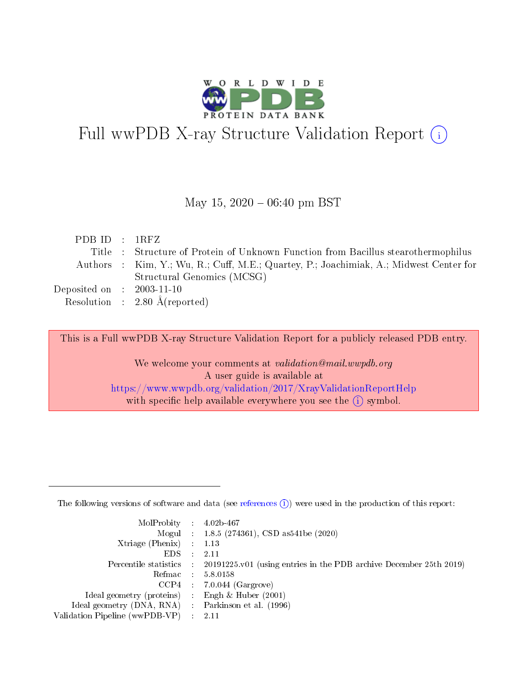

# Full wwPDB X-ray Structure Validation Report (i)

#### May 15,  $2020 - 06:40$  pm BST

| PDBID : 1RFZ                         |                                                                                        |
|--------------------------------------|----------------------------------------------------------------------------------------|
|                                      | Title : Structure of Protein of Unknown Function from Bacillus stearothermophilus      |
|                                      | Authors : Kim, Y.; Wu, R.; Cuff, M.E.; Quartey, P.; Joachimiak, A.; Midwest Center for |
|                                      | Structural Genomics (MCSG)                                                             |
| Deposited on $\therefore$ 2003-11-10 |                                                                                        |
|                                      | Resolution : $2.80 \text{ Å}$ (reported)                                               |

This is a Full wwPDB X-ray Structure Validation Report for a publicly released PDB entry.

We welcome your comments at validation@mail.wwpdb.org A user guide is available at <https://www.wwpdb.org/validation/2017/XrayValidationReportHelp> with specific help available everywhere you see the  $(i)$  symbol.

The following versions of software and data (see [references](https://www.wwpdb.org/validation/2017/XrayValidationReportHelp#references)  $(1)$ ) were used in the production of this report:

| $MolProbability$ : 4.02b-467                      |                              |                                                                                            |
|---------------------------------------------------|------------------------------|--------------------------------------------------------------------------------------------|
|                                                   |                              | Mogul : $1.8.5$ (274361), CSD as 541be (2020)                                              |
| Xtriage (Phenix) $: 1.13$                         |                              |                                                                                            |
| EDS –                                             | $\sim$                       | -2.11                                                                                      |
|                                                   |                              | Percentile statistics : 20191225.v01 (using entries in the PDB archive December 25th 2019) |
| Refmac : 5.8.0158                                 |                              |                                                                                            |
| CCP4                                              |                              | $7.0.044$ (Gargrove)                                                                       |
| Ideal geometry (proteins)                         | $\mathcal{L}_{\mathrm{eff}}$ | Engh & Huber $(2001)$                                                                      |
| Ideal geometry (DNA, RNA) Parkinson et al. (1996) |                              |                                                                                            |
| Validation Pipeline (wwPDB-VP) : 2.11             |                              |                                                                                            |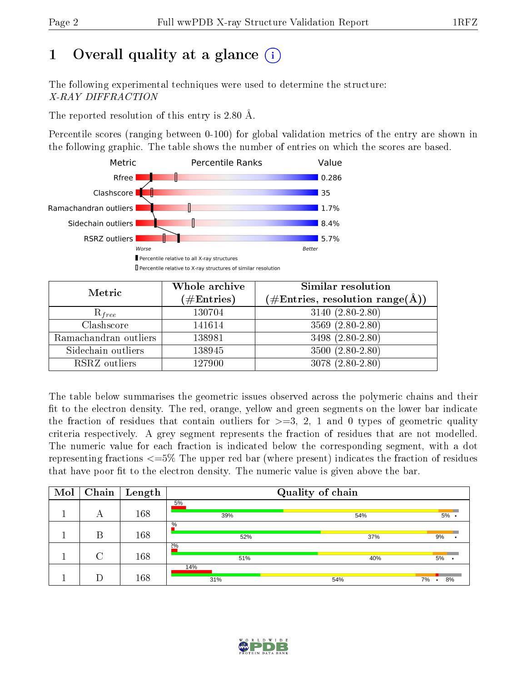# 1 [O](https://www.wwpdb.org/validation/2017/XrayValidationReportHelp#overall_quality)verall quality at a glance  $(i)$

The following experimental techniques were used to determine the structure: X-RAY DIFFRACTION

The reported resolution of this entry is 2.80 Å.

Percentile scores (ranging between 0-100) for global validation metrics of the entry are shown in the following graphic. The table shows the number of entries on which the scores are based.



| Metric                | Whole archive<br>$(\#\text{Entries})$ | Similar resolution<br>$(\#\text{Entries},\,\text{resolution}\,\,\text{range}(\textup{\AA}))$ |  |  |
|-----------------------|---------------------------------------|----------------------------------------------------------------------------------------------|--|--|
| $R_{free}$            | 130704                                | $3140 (2.80 - 2.80)$                                                                         |  |  |
| Clashscore            | 141614                                | $3569(2.80-2.80)$                                                                            |  |  |
| Ramachandran outliers | 138981                                | 3498 (2.80-2.80)                                                                             |  |  |
| Sidechain outliers    | 138945                                | $3500(2.80-2.80)$                                                                            |  |  |
| RSRZ outliers         | 127900                                | $3078(2.80-2.80)$                                                                            |  |  |

The table below summarises the geometric issues observed across the polymeric chains and their fit to the electron density. The red, orange, yellow and green segments on the lower bar indicate the fraction of residues that contain outliers for  $>=3, 2, 1$  and 0 types of geometric quality criteria respectively. A grey segment represents the fraction of residues that are not modelled. The numeric value for each fraction is indicated below the corresponding segment, with a dot representing fractions <=5% The upper red bar (where present) indicates the fraction of residues that have poor fit to the electron density. The numeric value is given above the bar.

| Mol | Chain  | $\vert$ Length | Quality of chain |     |                     |  |  |
|-----|--------|----------------|------------------|-----|---------------------|--|--|
|     | А      | 168            | 5%<br>39%        | 54% | $5\%$ .             |  |  |
|     | В      | 168            | $\%$<br>52%      | 37% | 9%                  |  |  |
|     | $\cap$ | 168            | $2\%$<br>51%     | 40% | $5\%$ .             |  |  |
|     |        | 168            | 14%<br>31%       | 54% | 8%<br>7%<br>$\cdot$ |  |  |

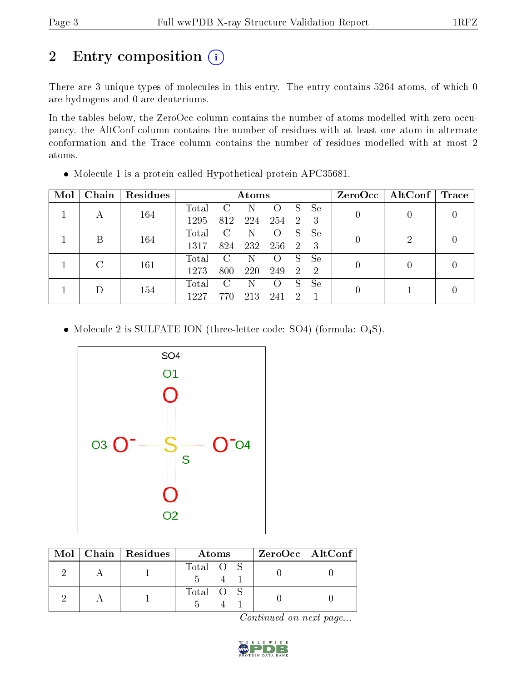# 2 Entry composition (i)

There are 3 unique types of molecules in this entry. The entry contains 5264 atoms, of which 0 are hydrogens and 0 are deuteriums.

In the tables below, the ZeroOcc column contains the number of atoms modelled with zero occupancy, the AltConf column contains the number of residues with at least one atom in alternate conformation and the Trace column contains the number of residues modelled with at most 2 atoms.

| Mol | Chain | Residues |                | Atoms         |     |                             |     |               |  | $ZeroOcc \mid AltConf \mid$ | $\mid$ Trace |
|-----|-------|----------|----------------|---------------|-----|-----------------------------|-----|---------------|--|-----------------------------|--------------|
|     | А     | 164      | Total          |               |     | 0                           |     | Se            |  |                             |              |
|     |       |          | 1295           | 812           | 224 | 254                         | -2. | - 3           |  |                             |              |
|     | В     | 164      | $\text{Total}$ | $\mathcal{C}$ |     | $\left( \ \right)$          | S   | Se            |  | 2                           |              |
|     |       |          | 1317           | 824           | 232 | 256                         | 2   | -3            |  |                             |              |
|     | C     | 161      | $\text{Total}$ | $\mathcal{C}$ |     | $\left( \right)$            | S   | Se            |  |                             |              |
|     |       | 1273     | 800            | 220           | 249 | $\mathcal{D}_{\mathcal{C}}$ | -2  |               |  |                             |              |
|     |       |          | Total          | $\mathcal{C}$ | N   | $\left( \right)$            | S   | <sub>Se</sub> |  |                             |              |
|     | 154   | 1227     | 770            | 213           | 241 | $\mathcal{D}$               |     |               |  |                             |              |

Molecule 1 is a protein called Hypothetical protein APC35681.

• Molecule 2 is SULFATE ION (three-letter code: SO4) (formula:  $O_4S$ ).



|  | Mol   Chain   Residues | Atoms     | $ZeroOcc$   AltConf |
|--|------------------------|-----------|---------------------|
|  |                        | Total O S |                     |
|  |                        | Total O S |                     |

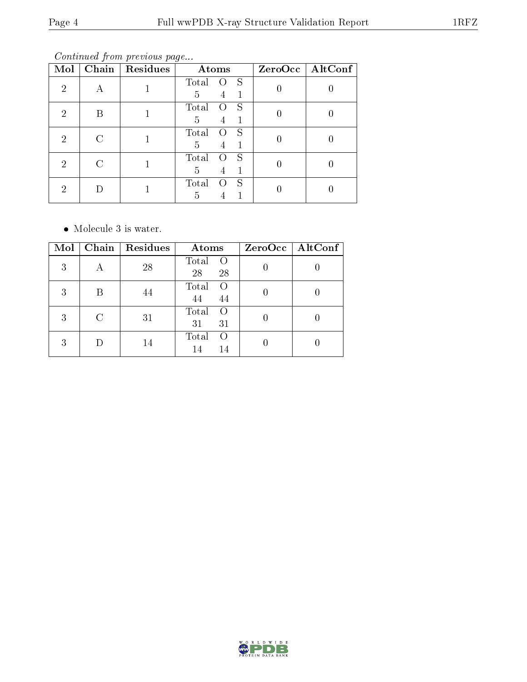Continued from previous page...

| Mol | Chain | Residues | Atoms                             | $ZeroOcc \fbox{AltConf}$ |
|-----|-------|----------|-----------------------------------|--------------------------|
| 2   |       |          | Total<br>S<br>5<br>4              |                          |
| 2   | Β     |          | S<br>Total<br>0<br>$\overline{5}$ |                          |
| 2   | C     |          | Total<br>S<br>5<br>4              |                          |
| 2   | C     |          | Total<br>S<br>5<br>4              |                          |
| റ   |       |          | Total<br>S<br>5                   |                          |

• Molecule 3 is water.

| Mol | Chain   Residues | Atoms                                 | $ZeroOcc$   AltConf |
|-----|------------------|---------------------------------------|---------------------|
| 3   | 28               | Total<br>$\bigcirc$<br>28<br>28       |                     |
| 3   | 44               | Total<br>$\Omega$<br>44<br>44         |                     |
| 3   | 31               | Total<br>$\Omega$<br>31<br>31         |                     |
| 3   | 14               | Total<br>$\left( \right)$<br>14<br>14 |                     |

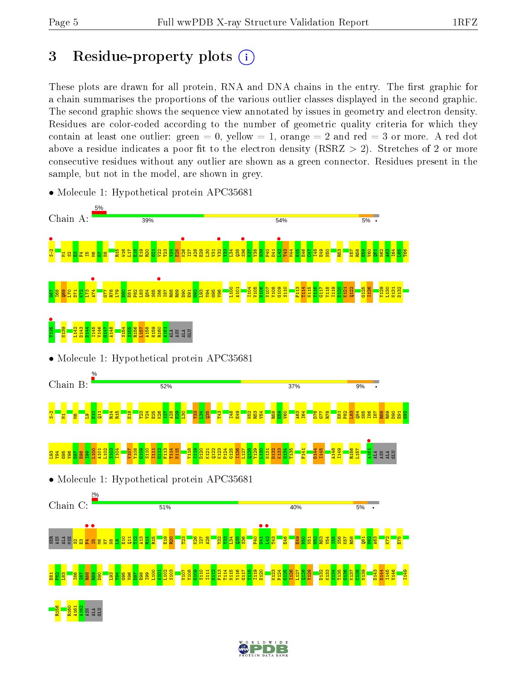# 3 Residue-property plots  $(i)$

These plots are drawn for all protein, RNA and DNA chains in the entry. The first graphic for a chain summarises the proportions of the various outlier classes displayed in the second graphic. The second graphic shows the sequence view annotated by issues in geometry and electron density. Residues are color-coded according to the number of geometric quality criteria for which they contain at least one outlier: green  $= 0$ , yellow  $= 1$ , orange  $= 2$  and red  $= 3$  or more. A red dot above a residue indicates a poor fit to the electron density (RSRZ  $> 2$ ). Stretches of 2 or more consecutive residues without any outlier are shown as a green connector. Residues present in the sample, but not in the model, are shown in grey.



• Molecule 1: Hypothetical protein APC35681

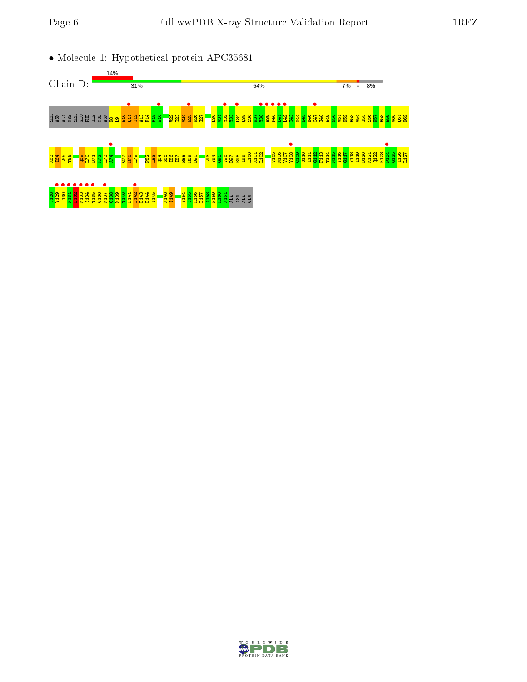• Molecule 1: Hypothetical protein APC35681



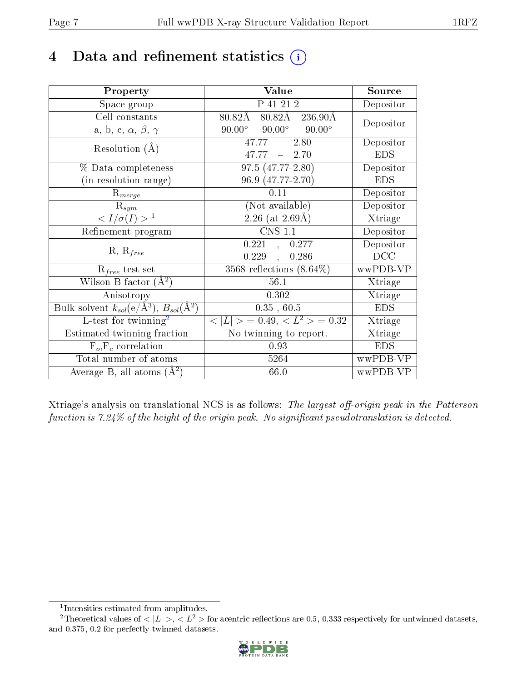# 4 Data and refinement statistics  $(i)$

| Property                                                                | Value                                            | Source     |
|-------------------------------------------------------------------------|--------------------------------------------------|------------|
| Space group                                                             | P 41 21 2                                        | Depositor  |
| Cell constants                                                          | 80.82Å 236.90Å<br>80.82Å                         | Depositor  |
| a, b, c, $\alpha$ , $\beta$ , $\gamma$                                  | $90.00^{\circ}$ $90.00^{\circ}$<br>$90.00^\circ$ |            |
| Resolution $(A)$                                                        | $47.77 - 2.80$                                   | Depositor  |
|                                                                         | $47.77 - 2.70$                                   | <b>EDS</b> |
| % Data completeness                                                     | 97.5 (47.77-2.80)                                | Depositor  |
| (in resolution range)                                                   | 96.9 (47.77-2.70)                                | <b>EDS</b> |
| $R_{merge}$                                                             | 0.11                                             | Depositor  |
| $\mathrm{R}_{sym}$                                                      | (Not available)                                  | Depositor  |
| $\langle I/\sigma(I) \rangle^{-1}$                                      | $2.26$ (at 2.69Å)                                | Xtriage    |
| Refinement program                                                      | <b>CNS 1.1</b>                                   | Depositor  |
|                                                                         | 0.221,<br>0.277                                  | Depositor  |
| $R, R_{free}$                                                           | 0.229<br>0.286<br>$\overline{1}$                 | DCC        |
| $R_{free}$ test set                                                     | $3568$ reflections $(8.64\%)$                    | wwPDB-VP   |
| Wilson B-factor $(A^2)$                                                 | 56.1                                             | Xtriage    |
| Anisotropy                                                              | 0.302                                            | Xtriage    |
| Bulk solvent $k_{sol}(\mathrm{e}/\mathrm{A}^3),\,B_{sol}(\mathrm{A}^2)$ | 0.35, 60.5                                       | <b>EDS</b> |
| L-test for twinning <sup>2</sup>                                        | $< L >$ = 0.49, $< L^2 >$ = 0.32                 | Xtriage    |
| Estimated twinning fraction                                             | $\overline{\text{No}}$ twinning to report.       | Xtriage    |
| $F_o, F_c$ correlation                                                  | 0.93                                             | <b>EDS</b> |
| Total number of atoms                                                   | 5264                                             | wwPDB-VP   |
| Average B, all atoms $(A^2)$                                            | 66.0                                             | wwPDB-VP   |

Xtriage's analysis on translational NCS is as follows: The largest off-origin peak in the Patterson function is  $7.24\%$  of the height of the origin peak. No significant pseudotranslation is detected.

<sup>&</sup>lt;sup>2</sup>Theoretical values of  $\langle |L| \rangle$ ,  $\langle L^2 \rangle$  for acentric reflections are 0.5, 0.333 respectively for untwinned datasets, and 0.375, 0.2 for perfectly twinned datasets.



<span id="page-6-1"></span><span id="page-6-0"></span><sup>1</sup> Intensities estimated from amplitudes.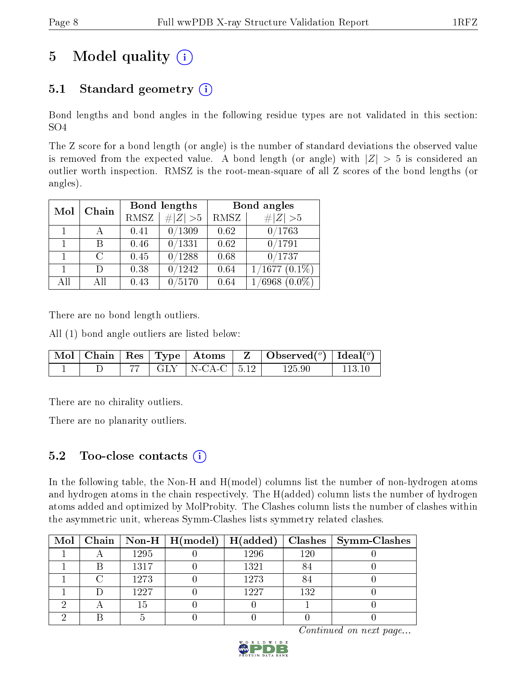# 5 Model quality  $(i)$

### 5.1 Standard geometry  $(i)$

Bond lengths and bond angles in the following residue types are not validated in this section: SO4

The Z score for a bond length (or angle) is the number of standard deviations the observed value is removed from the expected value. A bond length (or angle) with  $|Z| > 5$  is considered an outlier worth inspection. RMSZ is the root-mean-square of all Z scores of the bond lengths (or angles).

| Mol | Chain |      | Bond lengths | Bond angles |                    |  |
|-----|-------|------|--------------|-------------|--------------------|--|
|     |       | RMSZ | $\# Z  > 5$  | RMSZ        | # $ Z >5$          |  |
|     |       | 0.41 | 0/1309       | 0.62        | 0/1763             |  |
|     | В     | 0.46 | 0/1331       | 0.62        | 0/1791             |  |
|     | C     | 0.45 | 0/1288       | 0.68        | 0/1737             |  |
|     | Ð     | 0.38 | 0/1242       | 0.64        | $1/1677$ $(0.1\%)$ |  |
| All | All   | 0.43 | /5170        | 0.64        | $(6968)(0.0\%)$    |  |

There are no bond length outliers.

All (1) bond angle outliers are listed below:

|  |  |                                     | $\mid$ Mol $\mid$ Chain $\mid$ Res $\mid$ Type $\mid$ Atoms $\mid$ Z $\mid$ Observed( $\mid$ ) $\mid$ Ideal( $\mid$ ) |          |
|--|--|-------------------------------------|-----------------------------------------------------------------------------------------------------------------------|----------|
|  |  | $\uparrow$ 77   GLY   N-CA-C   5.12 | 125.90                                                                                                                | - 113 10 |

There are no chirality outliers.

There are no planarity outliers.

### 5.2 Too-close contacts  $(i)$

In the following table, the Non-H and H(model) columns list the number of non-hydrogen atoms and hydrogen atoms in the chain respectively. The H(added) column lists the number of hydrogen atoms added and optimized by MolProbity. The Clashes column lists the number of clashes within the asymmetric unit, whereas Symm-Clashes lists symmetry related clashes.

|  |      | Mol   Chain   Non-H   H(model)   H(added) |      |     | $\mid$ Clashes $\mid$ Symm-Clashes |
|--|------|-------------------------------------------|------|-----|------------------------------------|
|  | 1295 |                                           | 1296 | 120 |                                    |
|  | 1317 |                                           | 1321 | 84  |                                    |
|  | 1273 |                                           | 1273 | -84 |                                    |
|  | 1227 |                                           | 1227 | 132 |                                    |
|  | 15   |                                           |      |     |                                    |
|  |      |                                           |      |     |                                    |

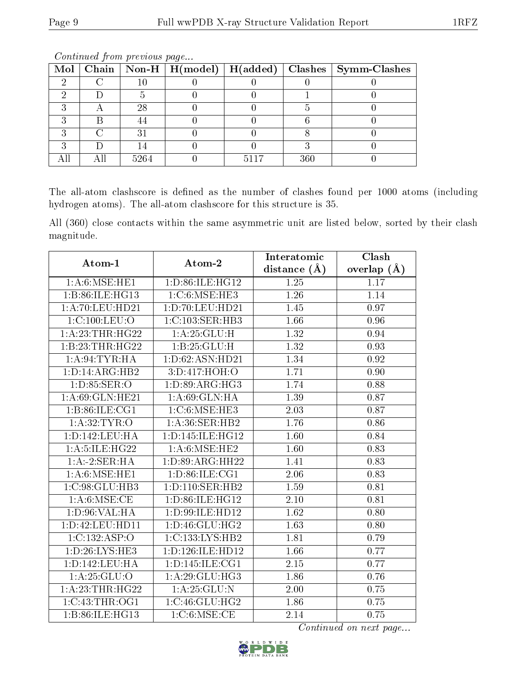|  |      |      |     | Mol   Chain   Non-H   H(model)   H(added)   Clashes   Symm-Clashes |
|--|------|------|-----|--------------------------------------------------------------------|
|  |      |      |     |                                                                    |
|  |      |      |     |                                                                    |
|  | 28   |      |     |                                                                    |
|  |      |      |     |                                                                    |
|  | 31   |      |     |                                                                    |
|  |      |      |     |                                                                    |
|  | 5264 | 5117 | 360 |                                                                    |

The all-atom clashscore is defined as the number of clashes found per 1000 atoms (including hydrogen atoms). The all-atom clashscore for this structure is 35.

All (360) close contacts within the same asymmetric unit are listed below, sorted by their clash magnitude.

| Atom-1             | Atom-2                       | Interatomic       | Clash         |
|--------------------|------------------------------|-------------------|---------------|
|                    |                              | distance $(\AA)$  | overlap $(A)$ |
| 1: A:6: MSE: HE1   | 1:D:86:ILE:HG12              | 1.25              | 1.17          |
| 1:B:86:ILE:HG13    | 1:C:6:MSE:HE3                | 1.26              | 1.14          |
| 1: A:70: LEU:HD21  | $1:D:70:L\overline{EU:HD21}$ | 1.45              | 0.97          |
| 1:C:100:LEU:O      | 1:C:103:SER:HB3              | 1.66              | 0.96          |
| 1:A:23:THR:HG22    | 1:A:25:GLU:H                 | $\overline{1.32}$ | 0.94          |
| 1:B:23:THR:HG22    | 1: B: 25: GLU: H             | 1.32              | 0.93          |
| 1: A:94:TYR:H A    | 1: D:62: ASN:HD21            | 1.34              | 0.92          |
| 1: D: 14: ARG: HB2 | 3:D:417:HOH:O                | 1.71              | 0.90          |
| 1:D:85:SER:O       | 1:D:89:ARG:HG3               | 1.74              | 0.88          |
| 1: A:69: GLN: HE21 | 1: A:69: GLN: HA             | 1.39              | 0.87          |
| 1: B:86: ILE: CG1  | $1:C:6:\text{MSE:HE3}$       | 2.03              | 0.87          |
| 1: A:32:TYR:O      | 1: A:36: SER: HB2            | 1.76              | 0.86          |
| 1:D:142:LEU:HA     | 1:D:145:ILE:HG12             | 1.60              | 0.84          |
| 1:A:5:ILE:HG22     | 1: A:6: MSE: HE2             | 1.60              | 0.83          |
| 1:A:2:SER:HA       | 1: D:89: ARG: HH22           | 1.41              | 0.83          |
| 1: A:6: MSE: HE1   | 1: D:86: ILE: CG1            | 2.06              | 0.83          |
| 1:C:98:GLU:HB3     | 1: D: 110: SER: HB2          | 1.59              | 0.81          |
| 1: A:6:MSE:CE      | 1: D:86: ILE: HG12           | 2.10              | 0.81          |
| 1: D: 96: VAL: HA  | 1:D:99:ILE:HD12              | 1.62              | 0.80          |
| 1:D:42:LEU:HD11    | 1:D:46:GLU:HG2               | $\overline{1.63}$ | 0.80          |
| 1:C:132:ASP:O      | 1:C:133:LYS:HB2              | 1.81              | 0.79          |
| 1: D: 26: LYS: HE3 | 1:D:126:ILE:HD12             | $\overline{1.66}$ | 0.77          |
| 1: D: 142: LEU: HA | 1: D: 145: ILE: CG1          | 2.15              | 0.77          |
| 1:A:25:GLU:O       | 1:A:29:GLU:HG3               | 1.86              | 0.76          |
| 1: A:23:THR:HG22   | $1:$ A:25:GLU:N              | 2.00              | 0.75          |
| 1:C:43:THR:OG1     | 1:C:46:GLU:HG2               | 1.86              | 0.75          |
| 1:B:86:ILE:HG13    | 1:C:6:MSE:CE                 | 2.14              | 0.75          |

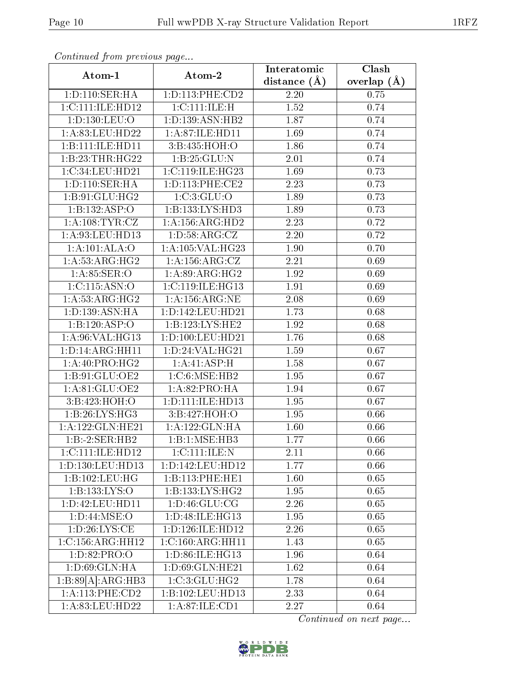| Atom-1               | Atom-2               | Interatomic      | Clash         |
|----------------------|----------------------|------------------|---------------|
|                      |                      | distance $(\AA)$ | overlap $(A)$ |
| 1: D: 110: SER: HA   | 1: D: 113: PHE: CD2  | 2.20             | 0.75          |
| 1:C:111:ILE:HD12     | 1:C:111:ILE:H        | 1.52             | 0.74          |
| 1: D: 130: LEU: O    | 1:D:139:ASN:HB2      | 1.87             | 0.74          |
| 1:A:83:LEU:HD22      | 1:A:87:ILE:HD11      | 1.69             | 0.74          |
| 1:B:111:ILE:HD11     | 3:B:435:HOH:O        | 1.86             | 0.74          |
| 1:B:23:THR:HG22      | 1:B:25:GLU:N         | 2.01             | 0.74          |
| 1:C:34:LEU:HD21      | 1:C:119:ILE:HG23     | 1.69             | 0.73          |
| 1: D: 110: SER: HA   | 1: D: 113: PHE: CE2  | 2.23             | 0.73          |
| 1:B:91:GLU:HG2       | 1:C:3:GLU:O          | 1.89             | 0.73          |
| 1:B:132:ASP:O        | 1:B:133:LYS:HD3      | 1.89             | 0.73          |
| 1: A: 108: TYR: CZ   | 1: A: 156: ARG: HD2  | 2.23             | 0.72          |
| 1:A:93:LEU:HD13      | 1: D: 58: ARG: CZ    | 2.20             | 0.72          |
| 1:A:101:ALA:O        | 1: A:105: VAL:HG23   | 1.90             | 0.70          |
| 1: A:53: ARG:HG2     | 1: A: 156: ARG: CZ   | 2.21             | 0.69          |
| 1: A:85: SER:O       | 1: A:89: ARG: HG2    | 1.92             | 0.69          |
| 1:C:115:ASN:O        | 1:C:119:ILE:HG13     | 1.91             | 0.69          |
| 1: A:53: ARG:HG2     | 1: A: 156: ARG: NE   | 2.08             | 0.69          |
| 1:D:139:ASN:HA       | 1: D: 142: LEU: HD21 | 1.73             | 0.68          |
| 1:B:120:ASP:O        | 1:B:123:LYS:HE2      | 1.92             | 0.68          |
| 1: A:96: VAL: HG13   | 1: D: 100: LEU: HD21 | 1.76             | 0.68          |
| 1:D:14:ARG:HH11      | 1: D: 24: VAL:HG21   | 1.59             | 0.67          |
| 1: A:40: PRO:HG2     | 1:A:41:ASP:H         | 1.58             | 0.67          |
| 1:B:91:GLU:OE2       | 1:C:6:MSE:HB2        | 1.95             | 0.67          |
| 1:A:81:GLU:OE2       | 1:A:82:PRO:HA        | 1.94             | 0.67          |
| 3:B:423:HOH:O        | 1: D: 111: ILE: HD13 | 1.95             | 0.67          |
| 1:B:26:LYS:HG3       | 3:B:427:HOH:O        | 1.95             | 0.66          |
| 1:A:122:GLN:HE21     | 1: A: 122: GLN: HA   | 1.60             | 0.66          |
| 1:B:2:SER:HB2        | 1:B:1:MSE:HB3        | 1.77             | 0.66          |
| 1: C: 111: ILE: HD12 | 1:C:111:ILE:N        | 2.11             | 0.66          |
| 1:D:130:LEU:HD13     | 1:D:142:LEU:HD12     | 1.77             | 0.66          |
| 1:B:102:LEU:HG       | 1:B:113:PHE:HE1      | 1.60             | 0.65          |
| 1:B:133:LYS:O        | 1: B: 133: LYS: HG2  | 1.95             | 0.65          |
| 1:D:42:LEU:HD11      | 1: D: 46: GLU: CG    | 2.26             | 0.65          |
| 1: D:44: MSE:O       | 1: D: 48: ILE: HG13  | 1.95             | 0.65          |
| 1: D: 26: LYS: CE    | 1: D: 126: ILE: HD12 | 2.26             | 0.65          |
| 1:C:156:ARG:HH12     | 1:C:160:ARG:HH11     | 1.43             | 0.65          |
| 1:D:82:PRO:O         | 1:D:86:ILE:HG13      | 1.96             | 0.64          |
| 1: D:69: GLN: HA     | 1:D:69:GLN:HE21      | 1.62             | 0.64          |
| 1:B:89[A]:ARG:HB3    | 1:C:3:GLU:HG2        | 1.78             | 0.64          |
| 1: A:113:PHE:CD2     | 1:B:102:LEU:HD13     | 2.33             | 0.64          |
| 1:A:83:LEU:HD22      | 1:A:87:ILE:CD1       | 2.27             | 0.64          |

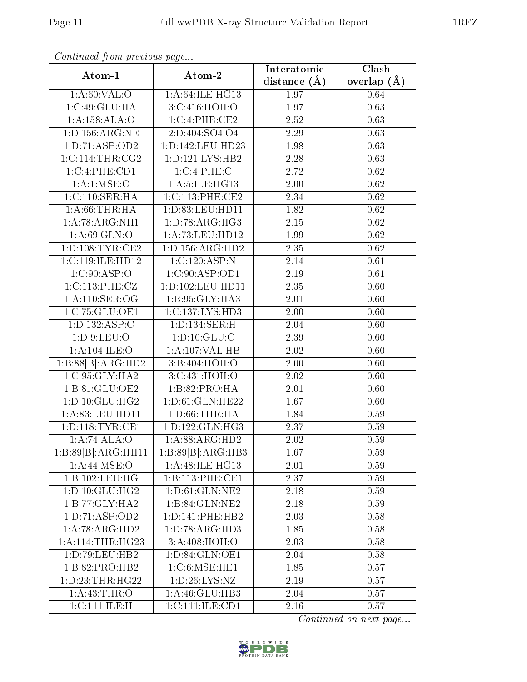| $F = F$             |                                       | Interatomic       | Clash           |
|---------------------|---------------------------------------|-------------------|-----------------|
| Atom-1              | Atom-2                                | distance $(\AA)$  | overlap $(\AA)$ |
| 1: A:60: VAL:O      | 1:A:64:ILE:HG13                       | 1.97              | 0.64            |
| 1:C:49:GLU:HA       | 3:C:416:HOH:O                         | 1.97              | 0.63            |
| 1:A:158:ALA:O       | 1:C:4:PHE:CE2                         | 2.52              | 0.63            |
| 1:D:156:ARG:NE      | 2:D:404:SO4:O4                        | 2.29              | 0.63            |
| 1: D: 71: ASP: OD2  | 1:D:142:LEU:HD23                      | 1.98              | 0.63            |
| 1:C:114:THR:CG2     | 1: D: 121: LYS: HB2                   | 2.28              | 0.63            |
| 1:C:4:PHE:CD1       | 1:C:4:PHE:C                           | 2.72              | 0.62            |
| 1: A: 1: MSE: O     | 1: A:5: ILE: HG13                     | 2.00              | 0.62            |
| 1: C:110: SER: HA   | 1:C:113:PHE:CE2                       | 2.34              | 0.62            |
| 1: A:66:THR:HA      | 1:D:83:LEU:HD11                       | 1.82              | $\rm 0.62$      |
| 1:A:78:ARG:NH1      | 1: D: 78: ARG: HG3                    | $2.15\,$          | 0.62            |
| 1: A:69: GLN:O      | 1:A:73:LEU:HD12                       | 1.99              | 0.62            |
| 1: D: 108: TYR: CE2 | 1: D: 156: ARG: HD2                   | 2.35              | 0.62            |
| 1:C:119:ILE:HD12    | 1:C:120:ASP:N                         | $\overline{2.14}$ | 0.61            |
| 1:C:90:ASP:O        | 1:C:90:ASP:OD1                        | 2.19              | 0.61            |
| 1:C:113:PHE:CZ      | 1:D:102:LEU:HD11                      | 2.35              | 0.60            |
| 1: A:110: SER:OG    | 1:B:95:GLY:HA3                        | 2.01              | 0.60            |
| 1:C:75:GLU:OE1      | 1:C:137:LYS:HD3                       | 2.00              | 0.60            |
| 1: D: 132: ASP: C   | 1:D:134:SER:H                         | 2.04              | 0.60            |
| 1: D:9: LEU:O       | 1: D: 10: GLU: C                      | 2.39              | 0.60            |
| 1:A:104:ILE:O       | 1:A:107:VAL:HB                        | 2.02              | 0.60            |
| 1:B:88[B]:ARG:HD2   | 3:B:404:HOH:O                         | 2.00              | 0.60            |
| 1:C:95:GLY:HA2      | 3:C:431:HOH:O                         | 2.02              | 0.60            |
| 1:B:81:GLU:OE2      | 1:B:82:PRO:HA                         | $2.01\,$          | 0.60            |
| 1: D: 10: GLU: HG2  | 1:D:61:GLN:HE22                       | 1.67              | 0.60            |
| 1:A:83:LEU:HD11     | 1: D:66:THR:HA                        | 1.84              | 0.59            |
| 1: D: 118: TYR: CE1 | 1: D: 122: GLN: HG3                   | 2.37              | 0.59            |
| 1:A:74:ALA:O        | 1:A:88:ARG:HD2                        | 2.02              | 0.59            |
| 1:B:89[B]:ARG:HH11  | 1:B:89[B]:ARG:HB3                     | 1.67              | 0.59            |
| 1: A:44: MSE:O      | 1:A:48:ILE:HG13                       | 2.01              | 0.59            |
| 1:B:102:LEU:HG      | 1:B:113:PHE:CE1                       | 2.37              | 0.59            |
| 1: D: 10: GLU: HG2  | 1: D:61: GLN: NE2                     | 2.18              | 0.59            |
| 1:B:77:GLY:HA2      | 1:B:84:GLN:NE2                        | 2.18              | 0.59            |
| 1:D:71:ASP:OD2      | 1:D:141:PHE:HB2                       | 2.03              | 0.58            |
| 1:A:78:ARG:HD2      | 1:D:78:ARG:HD3                        | 1.85              | 0.58            |
| 1: A:114:THR:HG23   | 3:A:408:H <sub>0</sub> H <sub>0</sub> | 2.03              | 0.58            |
| 1:D:79:LEU:HB2      | 1:D:84:GLN:OE1                        | 2.04              | 0.58            |
| 1:B:82:PRO:HB2      | 1:C:6:MSE:HE1                         | 1.85              | 0.57            |
| 1:D:23:THR:HG22     | 1: D:26: LYS: NZ                      | 2.19              | 0.57            |
| 1:A:43:THR:O        | 1: A:46: GLU:HB3                      | 2.04              | 0.57            |
| 1:C:111:ILE:H       | 1:C:111:ILE:CD1                       | $2.16\,$          | 0.57            |

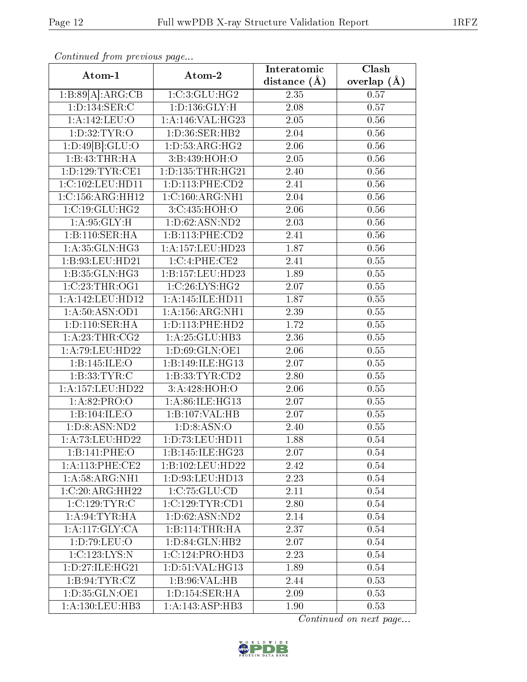| sonnanasa jionn pisonsas pags     |                                      | Interatomic       | Clash           |
|-----------------------------------|--------------------------------------|-------------------|-----------------|
| Atom-1                            | Atom-2                               | distance $(\AA)$  | overlap $(\AA)$ |
| 1:B:89[A]:ARG:CB                  | 1:C:3:GLU:HG2                        | 2.35              | 0.57            |
| 1:D:134:SER:C                     | 1: D: 136: GLY: H                    | 2.08              | 0.57            |
| 1:A:142:LEU:O                     | 1:A:146:VAL:HG23                     | 2.05              | 0.56            |
| 1: D:32: TYR:O                    | 1:D:36:SER:HB2                       | 2.04              | $0.56\,$        |
| 1:D:49[B]:GLU:O                   | 1: D: 53: ARG: HG2                   | 2.06              | 0.56            |
| 1:B:43:THR:HA                     | 3:B:439:HOH:O                        | 2.05              | 0.56            |
| 1:D:129:TYR:CE1                   | 1:D:135:THR:HG21                     | 2.40              | 0.56            |
| 1:C:102:LEU:HD11                  | 1: D: 113: PHE: CD2                  | 2.41              | 0.56            |
| 1:C:156:ARG:HH12                  | 1:C:160:ARG:NH1                      | 2.04              | 0.56            |
| 1:C:19:GLU:HG2                    | $3:C:435:\overline{HOH:O}$           | 2.06              | 0.56            |
| 1: A:95: GLY:H                    | 1: D:62: ASN:ND2                     | 2.03              | 0.56            |
| 1:B:110:SER:HA                    | 1:B:113:PHE:CD2                      | 2.41              | 0.56            |
| 1:A:35:GLN:HG3                    | $1:\overline{A}:157:\text{LEU}:HD23$ | 1.87              | 0.56            |
| 1:B:93:LEU:HD21                   | 1:C:4:PHE:CE2                        | 2.41              | 0.55            |
| 1:B:35:GLN:HG3                    | 1:B:157:LEU:HD23                     | 1.89              | 0.55            |
| 1:C:23:THR:OG1                    | 1:C:26:LYS:HG2                       | 2.07              | 0.55            |
| 1:A:142:LEU:HD12                  | 1: A:145: ILE: HDI1                  | 1.87              | 0.55            |
| 1: A:50: ASN:OD1                  | 1: A: 156: ARG: NH1                  | 2.39              | 0.55            |
| 1: D: 110: SER: HA                | 1: D: 113: PHE: HD2                  | 1.72              | 0.55            |
| 1: A:23:THR:CG2                   | 1: A:25: GLU:HB3                     | 2.36              | 0.55            |
| 1: A:79: LEU: HD22                | 1:D:69:GLN:OE1                       | 2.06              | 0.55            |
| 1:B:145:ILE:O                     | 1:B:149:ILE:HG13                     | 2.07              | 0.55            |
| 1:B:33:TYR:C                      | 1: B: 33: TYR: CD2                   | 2.80              | 0.55            |
| 1:A:157:LEU:HD22                  | 3:A:428:HOH:O                        | 2.06              | 0.55            |
| 1:A:82:PRO:O                      | 1:A:86:ILE:HG13                      | 2.07              | 0.55            |
| 1:B:104:ILE:O                     | 1:B:107:VAL:HB                       | $\overline{2.07}$ | 0.55            |
| 1:D:8:ASN:ND2                     | 1: D: 8: ASN: O                      | 2.40              | 0.55            |
| 1:A:73:LEU:HD22                   | 1:D:73:LEU:HD11                      | 1.88              | 0.54            |
| 1:B:141:PHE:O                     | 1:B:145:ILE:HG23                     | 2.07              | 0.54            |
| 1:A:113:PHE:CE2                   | 1:B:102:LEU:HD22                     | 2.42              | 0.54            |
| 1: A:58: ARG:NH1                  | 1: D: 93: LEU: HD13                  | 2.23              | 0.54            |
| 1:C:20:ARG:HH22                   | 1:C:75:GLU:CD                        | 2.11              | 0.54            |
| $1:C:129:\overline{\text{TYR}:C}$ | 1:C:129:TYR:CD1                      | 2.80              | 0.54            |
| 1: A:94:TYR:HA                    | 1:D:62:ASN:ND2                       | 2.14              | 0.54            |
| 1:A:117:GLY:CA                    | 1:B:114:THR:HA                       | 2.37              | 0.54            |
| 1: D: 79: LEU: O                  | 1:D:84:GLN:HB2                       | 2.07              | 0.54            |
| 1:C.123:LYS:N                     | 1:C:124:PRO:HD3                      | 2.23              | 0.54            |
| 1:D:27:ILE:HG21                   | 1: D:51: VAL: HG13                   | 1.89              | 0.54            |
| 1:B:94:TYR:CZ                     | 1:B:96:VAL:HB                        | 2.44              | 0.53            |
| 1:D:35:GLN:OE1                    | 1:D:154:SER:HA                       | 2.09              | 0.53            |
| 1: A: 130: LEU: HB3               | 1:A:143:ASP:HB3                      | 1.90              | 0.53            |

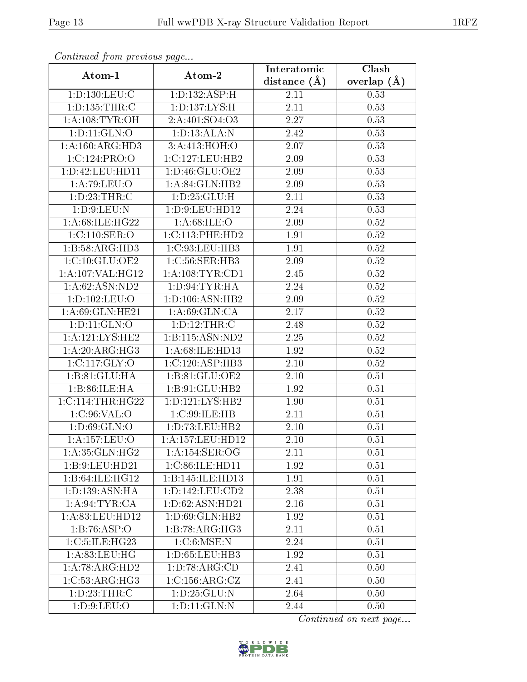|                                    |                                 | Interatomic      | $\overline{\text{Clash}}$ |
|------------------------------------|---------------------------------|------------------|---------------------------|
| Atom-1                             | Atom-2                          | distance $(\AA)$ | overlap $(A)$             |
| 1: D: 130: LEU: C                  | 1:D:132:ASP:H                   | 2.11             | 0.53                      |
| 1: D: 135: THR:C                   | 1: D: 137: LYS:H                | $2.11\,$         | 0.53                      |
| 1: A:108: TYR:OH                   | 2:A:401:SO4:O3                  | 2.27             | 0.53                      |
| 1: D: 11: GLN: O                   | 1: D: 13: ALA: N                | 2.42             | 0.53                      |
| 1:A:160:ARG:HD3                    | 3:A:413:HOH:O                   | 2.07             | 0.53                      |
| 1:C:124:PRO:O                      | 1:C:127:LEU:HB2                 | 2.09             | 0.53                      |
| 1:D:42:LEU:HD11                    | 1:D:46:GLU:OE2                  | 2.09             | 0.53                      |
| 1: A:79: LEU:O                     | 1:A:84:GLN:HB2                  | 2.09             | 0.53                      |
| 1: D: 23: THR:C                    | 1:D:25:GLU:H                    | 2.11             | 0.53                      |
| 1: D: 9: LEU: N                    | 1: D: 9: LEU: HD12              | 2.24             | 0.53                      |
| 1:A:68:ILE:HG22                    | 1: A:68: ILE: O                 | 2.09             | 0.52                      |
| 1:C:110:SER:O                      | 1:C:113:PHE:HD2                 | 1.91             | 0.52                      |
| 1:B:58:ARG:HD3                     | 1:C:93:LEU:HB3                  | 1.91             | 0.52                      |
| 1:C:10:GLU:OE2                     | 1: C:56: SER:HB3                | 2.09             | 0.52                      |
| 1:A:107:VAL:HG12                   | 1: A:108: TYR: CD1              | 2.45             | 0.52                      |
| 1: A:62: ASN:ND2                   | 1: D:94:TYR:HA                  | 2.24             | $0.52\,$                  |
| 1:D:102:LEU:O                      | $1: D: 106: \overline{ASN:HB2}$ | 2.09             | 0.52                      |
| 1: A:69: GLN: HE21                 | 1: A:69: GLN:CA                 | 2.17             | $0.52\,$                  |
| 1: D: 11: GLN: O                   | 1: D: 12: THR:C                 | 2.48             | $0.52\,$                  |
| 1:A:121:LYS:HE2                    | 1:B:115:ASN:ND2                 | 2.25             | 0.52                      |
| 1: A:20: ARG:HG3                   | 1:A:68:ILE:HD13                 | 1.92             | $0.52\,$                  |
| 1:C:117:GLY:O                      | 1:C:120:ASP:HB3                 | $2.10\,$         | $0.52\,$                  |
| 1:B:81:GLU:HA                      | 1:B:81:GLU:OE2                  | $2.10\,$         | 0.51                      |
| 1:B:86:ILE:HA                      | 1:B:91:GLU:HB2                  | 1.92             | 0.51                      |
| 1:C:114:THR:HG22                   | 1:D:121:LYS:HB2                 | 1.90             | 0.51                      |
| 1:C:96:VAL:O                       | 1:C:99:ILE:HB                   | 2.11             | 0.51                      |
| 1: D:69: GLN:O                     | 1: D: 73: LEU: HB2              | 2.10             | 0.51                      |
| 1:A:157:LEU:O                      | 1:A:157:LEU:HD12                | $2.10\,$         | 0.51                      |
| 1: A: 35: GLN: HG2                 | 1:A:154:SER:OG                  | 2.11             | 0.51                      |
| 1:B:9:LEU:HD21                     | 1:C:86:ILE:HD11                 | 1.92             | 0.51                      |
| 1:B:64:ILE:HG12                    | 1:B:145:ILE:HD13                | 1.91             | 0.51                      |
| 1: D: 139: ASN: HA                 | 1: D: 142: LEU: CD2             | 2.38             | 0.51                      |
| 1: A:94:TYR:CA                     | 1: D:62: ASN:HD21               | 2.16             | 0.51                      |
| 1:A:83:LEU:HD12                    | 1: D:69: GLN: HB2               | 1.92             | 0.51                      |
| 1:B:76:ASP:O                       | 1:B:78:ARG:HG3                  | 2.11             | 0.51                      |
| 1:C:5:ILE:HG23                     | $1:C:6:\overline{\text{MSE:N}}$ | 2.24             | 0.51                      |
| 1: A:83: LEU: HG                   | 1:D:65:LEU:HB3                  | 1.92             | 0.51                      |
| $1:A:78:A\overline{\text{RG:HD2}}$ | $1:D:78:AR\overline{G:CD}$      | 2.41             | 0.50                      |
| 1:C:53:ARG:HG3                     | 1:C:156:ARG:CZ                  | 2.41             | 0.50                      |
| 1: D: 23: THR:C                    | 1: D: 25: GLU: N                | 2.64             | 0.50                      |
| 1: D:9: LEU:O                      | 1: D: 11: GLN: N                | 2.44             | 0.50                      |

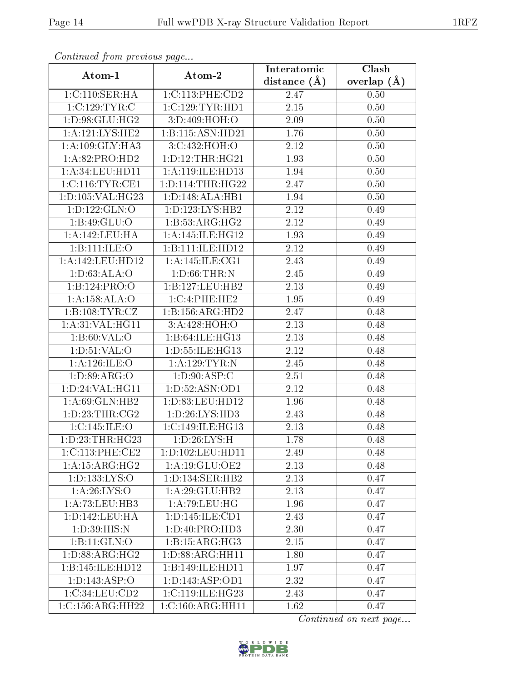| $r^{2}$ . The state $r^{2}$ is the set of $r^{2}$ is the set of $r^{2}$ is the set of $r^{2}$ is the set of $r^{2}$ is the set of $r^{2}$ is the set of $r^{2}$ is the set of $r^{2}$ is the set of $r^{2}$ is the set of $r^{2}$ is the<br>Atom-1 |                               | Interatomic      | Clash           |
|----------------------------------------------------------------------------------------------------------------------------------------------------------------------------------------------------------------------------------------------------|-------------------------------|------------------|-----------------|
|                                                                                                                                                                                                                                                    | Atom-2                        | distance $(\AA)$ | overlap $(\AA)$ |
| 1:C:110:SER:HA                                                                                                                                                                                                                                     | 1:C:113:PHE:CD2               | 2.47             | 0.50            |
| $1:C:\overline{129:TYR:C}$                                                                                                                                                                                                                         | 1:C:129:TYR:HDI               | 2.15             | 0.50            |
| 1:D:98:GLU:HG2                                                                                                                                                                                                                                     | 3:D:409:HOH:O                 | 2.09             | 0.50            |
| 1:A:121:LYS:HE2                                                                                                                                                                                                                                    | 1:B:115:ASN:HD21              | 1.76             | 0.50            |
| 1: A:109: GLY:HA3                                                                                                                                                                                                                                  | 3:C:432:HOH:O                 | 2.12             | 0.50            |
| 1:A:82:PRO:HD2                                                                                                                                                                                                                                     | 1: D: 12: THR: HG21           | 1.93             | 0.50            |
| 1: A:34:LEU:HD11                                                                                                                                                                                                                                   | 1: A:119: ILE: HD13           | 1.94             | 0.50            |
| 1: C:116: TYR: CE1                                                                                                                                                                                                                                 | 1: D: 114: THR: HG22          | 2.47             | 0.50            |
| 1:D:105:VAL:HG23                                                                                                                                                                                                                                   | 1: D: 148: ALA: HB1           | 1.94             | 0.50            |
| 1: D: 122: GLN: O                                                                                                                                                                                                                                  | 1: D: 123: LYS: HB2           | $2.12\,$         | 0.49            |
| 1: B: 49: GLU:O                                                                                                                                                                                                                                    | 1:B:53:ARG:HG2                | 2.12             | 0.49            |
| 1:A:142:LEU:HA                                                                                                                                                                                                                                     | 1: A:145: ILE: HG12           | 1.93             | 0.49            |
| 1:B:111:ILE:O                                                                                                                                                                                                                                      | 1:B:111:ILE:HD12              | 2.12             | 0.49            |
| 1:A:142:LEU:HD12                                                                                                                                                                                                                                   | 1:A:145:ILE:CG1               | 2.43             | 0.49            |
| 1: D:63: ALA:O                                                                                                                                                                                                                                     | 1: D:66:THR:N                 | 2.45             | 0.49            |
| 1:B:124:PRO:O                                                                                                                                                                                                                                      | 1:B:127:LEU:HB2               | 2.13             | 0.49            |
| 1:A:158:ALA:O                                                                                                                                                                                                                                      | 1:C:4:PHE:HE2                 | 1.95             | 0.49            |
| 1:B:108:TYR:CZ                                                                                                                                                                                                                                     | 1:B:156:ARG:HD2               | 2.47             | 0.48            |
| 1: A:31: VAL: HG11                                                                                                                                                                                                                                 | 3:A:428:HOH:O                 | 2.13             | 0.48            |
| 1: B:60: VAL:O                                                                                                                                                                                                                                     | 1:B:64:ILE:HG13               | 2.13             | 0.48            |
| 1: D: 51: VAL: O                                                                                                                                                                                                                                   | 1: D: 55: ILE: HG13           | 2.12             | 0.48            |
| 1: A:126: ILE: O                                                                                                                                                                                                                                   | 1: A:129:TYR:N                | 2.45             | 0.48            |
| 1: D:89: ARG:O                                                                                                                                                                                                                                     | 1: D:90: ASP:C                | 2.51             | 0.48            |
| 1:D:24:VAL:HG11                                                                                                                                                                                                                                    | 1:D:52:ASN:OD1                | 2.12             | 0.48            |
| 1: A:69: GLN: HB2                                                                                                                                                                                                                                  | 1: D: 83: LEU: HD12           | 1.96             | 0.48            |
| 1: D: 23: THR: CG2                                                                                                                                                                                                                                 | 1: D: 26: LYS: HD3            | 2.43             | 0.48            |
| 1:C:145:ILE:O                                                                                                                                                                                                                                      | 1:C:149:ILE:HG13              | 2.13             | 0.48            |
| 1: D: 23: THR: HG23                                                                                                                                                                                                                                | 1: D:26: LYS:H                | 1.78             | 0.48            |
| 1:C:113:PHE:CE2                                                                                                                                                                                                                                    | 1: D: 102: LEU: HD11          | 2.49             | 0.48            |
| 1: A:15: ARG:HG2                                                                                                                                                                                                                                   | 1: A:19: GLU:OE2              | 2.13             | 0.48            |
| 1:D:133:LYS:O                                                                                                                                                                                                                                      | 1: D: 134: SER: HB2           | 2.13             | 0.47            |
| 1: A:26: LYS:O                                                                                                                                                                                                                                     | 1:A:29:GLU:HB2                | 2.13             | 0.47            |
| 1:A:73:LEU:HB3                                                                                                                                                                                                                                     | 1: A:79: LEU: HG              | 1.96             | 0.47            |
| 1:D:142:LEU:HA                                                                                                                                                                                                                                     | 1: D: 145: ILE: CD1           | 2.43             | 0.47            |
| 1:D:39:HIS:N                                                                                                                                                                                                                                       | 1: D: 40: PRO: HD3            | 2.30             | 0.47            |
| 1:B:11:GLN:O                                                                                                                                                                                                                                       | 1:B:15:ARG:HG3                | 2.15             | 0.47            |
| 1: D: 88: ARG: HG2                                                                                                                                                                                                                                 | 1: D:88: ARG: HH11            | 1.80             | 0.47            |
| 1:B:145:ILE:HD12                                                                                                                                                                                                                                   | $1:B:149:ILE:H\overline{D11}$ | 1.97             | 0.47            |
| 1: D: 143: ASP: O                                                                                                                                                                                                                                  | 1:D:143:ASP:OD1               | 2.32             | 0.47            |
| 1:C:34:LEU:CD2                                                                                                                                                                                                                                     | 1:C:119:ILE:HG23              | 2.43             | 0.47            |
| 1:C:156:ARG:HH22                                                                                                                                                                                                                                   | 1:C:160:ARG:HH11              | 1.62             | 0.47            |

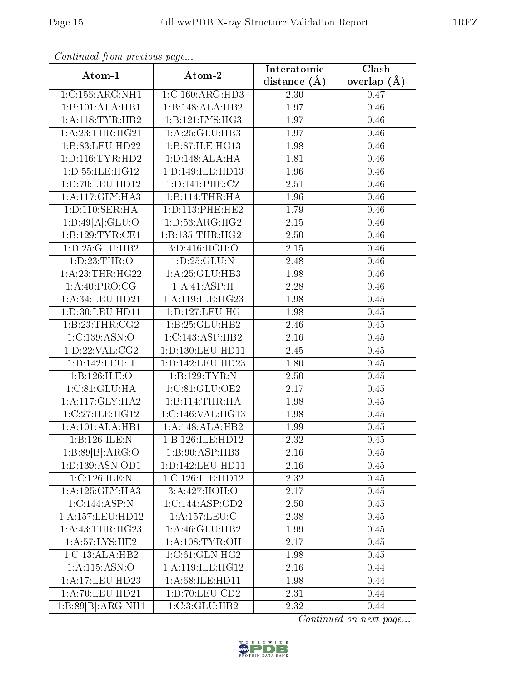| $\sum_{i=1}^{n}$    |                      | Interatomic      | Clash           |
|---------------------|----------------------|------------------|-----------------|
| Atom-1              | Atom-2               | distance $(\AA)$ | overlap $(\AA)$ |
| 1:C:156:ARG:NH1     | 1:C:160:ARG:HD3      | 2.30             | 0.47            |
| 1:B:101:ALA:HB1     | 1:B:148:ALA:HB2      | 1.97             | 0.46            |
| 1: A:118: TYR: HB2  | 1:B:121:LYS:HG3      | 1.97             | 0.46            |
| 1: A:23:THR:HG21    | 1: A:25: GLU:HB3     | 1.97             | 0.46            |
| 1:B:83:LEU:HD22     | 1:B:87:ILE:HG13      | 1.98             | 0.46            |
| 1: D: 116: TYR: HD2 | 1: D: 148: ALA: HA   | 1.81             | 0.46            |
| 1:D:55:ILE:HG12     | 1:D:149:ILE:HD13     | 1.96             | 0.46            |
| 1: D: 70: LEU: HD12 | 1: D: 141: PHE: CZ   | 2.51             | 0.46            |
| 1:A:117:GLY:HA3     | 1:B:114:THR:HA       | 1.96             | 0.46            |
| 1: D: 110: SER: HA  | 1: D: 113: PHE: HE2  | 1.79             | 0.46            |
| 1:D:49[A]:GLU:O     | 1: D: 53: ARG: HG2   | 2.15             | 0.46            |
| 1:B:129:TYR:CE1     | 1: B: 135: THR: HG21 | 2.50             | 0.46            |
| 1: D: 25: GLU: HB2  | 3:D:416:HOH:O        | 2.15             | 0.46            |
| 1: D: 23: THR:O     | 1: D: 25: GLU:N      | 2.48             | $0.46\,$        |
| 1: A:23:THR:HG22    | 1: A:25: GLU:HB3     | 1.98             | 0.46            |
| 1:A:40:PRO:CG       | 1:A:41:ASP:H         | 2.28             | 0.46            |
| 1:A:34:LEU:HD21     | 1:A:119:ILE:HG23     | 1.98             | 0.45            |
| 1:D:30:LEU:HD11     | 1:D:127:LEU:HG       | 1.98             | 0.45            |
| 1:B:23:THR:CG2      | 1:B:25:GLU:HB2       | 2.46             | 0.45            |
| 1:C:139:ASN:O       | 1:C:143:ASP:HB2      | 2.16             | 0.45            |
| 1: D: 22: VAL: CG2  | 1: D: 130: LEU: HD11 | 2.45             | 0.45            |
| 1:D:142:LEU:H       | 1:D:142:LEU:HD23     | 1.80             | 0.45            |
| 1:B:126:ILE:O       | 1:B:129:TYR:N        | 2.50             | 0.45            |
| 1:C:81:GLU:HA       | 1:C:81:GLU:OE2       | 2.17             | 0.45            |
| 1:A:117:GLY:HA2     | 1:B:114:THR:HA       | 1.98             | 0.45            |
| 1:C:27:ILE:HG12     | 1:C:146:VAL:HG13     | 1.98             | 0.45            |
| 1:A:101:ALA:HB1     | 1:A:148:ALA:HB2      | 1.99             | 0.45            |
| 1:B:126:ILE:N       | 1:B:126:ILE:HD12     | 2.32             | 0.45            |
| 1:B:89[B]:ARG:O     | 1:B:90:ASP:HB3       | 2.16             | 0.45            |
| 1:D:139:ASN:OD1     | 1:D:142:LEU:HD11     | 2.16             | 0.45            |
| 1:C:126:ILE:N       | 1:C:126:ILE:HD12     | 2.32             | 0.45            |
| 1:A:125:GLY:HA3     | 3:A:427:HOH:O        | 2.17             | 0.45            |
| 1:C:144:ASP:N       | 1:C:144:ASP:OD2      | 2.50             | 0.45            |
| 1:A:157:LEU:HD12    | 1:A:157:LEU:C        | 2.38             | 0.45            |
| 1:A:43:THR:HG23     | 1: A:46: GLU:HB2     | 1.99             | 0.45            |
| 1: A:57: LYS: HE2   | 1: A:108:TYR:OH      | 2.17             | 0.45            |
| 1:C:13:ALA:HB2      | 1:C:61:GLN:HG2       | 1.98             | 0.45            |
| 1:A:115:ASN:O       | 1:A:119:ILE:HG12     | 2.16             | 0.44            |
| 1:A:17:LEU:HD23     | 1:A:68:ILE:HD11      | 1.98             | 0.44            |
| 1:A:70:LEU:HD21     | 1:D:70:LEU:CD2       | 2.31             | 0.44            |
| 1:B:89[B]:ARG:NH1   | 1:C:3:GLU:HB2        | 2.32             | 0.44            |

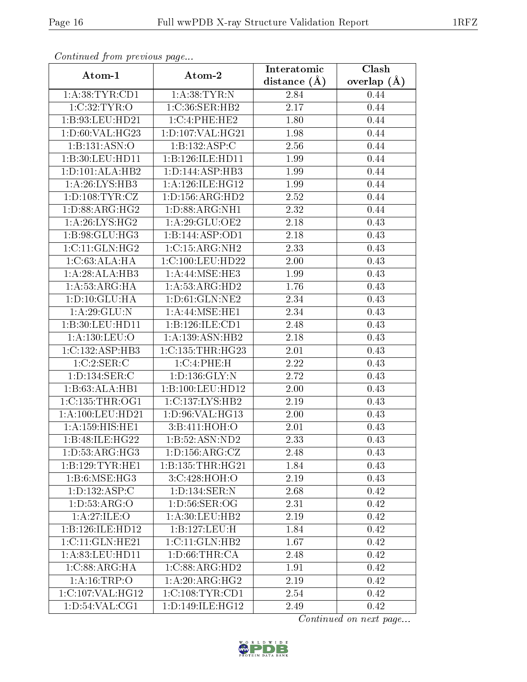| Atom-1              | Atom-2                      | Interatomic      | $\overline{\text{Clash}}$ |
|---------------------|-----------------------------|------------------|---------------------------|
|                     |                             | distance $(\AA)$ | overlap $(A)$             |
| 1: A:38:TYR:CD1     | 1: A:38:TYR:N               | 2.84             | 0.44                      |
| 1:C:32:TYR:O        | 1:C:36:SER:HB2              | 2.17             | 0.44                      |
| 1:B:93:LEU:HD21     | 1:C:4:PHE:HE2               | 1.80             | 0.44                      |
| 1: D:60: VAL:HG23   | 1: D: 107: VAL:HG21         | 1.98             | 0.44                      |
| 1:B:131:ASN:O       | 1:B:132:ASP:C               | 2.56             | 0.44                      |
| 1:B:30:LEU:HDI1     | 1:B:126:ILE:HD11            | 1.99             | 0.44                      |
| 1:D:101:ALA:HB2     | 1:D:144:ASP:HB3             | 1.99             | 0.44                      |
| 1: A:26: LYS:HB3    | 1: A:126: ILE: HG12         | 1.99             | 0.44                      |
| 1: D: 108: TYR: CZ  | 1: D: 156: ARG: HD2         | 2.52             | 0.44                      |
| 1: D: 88: ARG: HG2  | 1: D: 88: ARG: NH1          | 2.32             | 0.44                      |
| 1: A:26: LYS:HG2    | 1: A:29: GLU:OE2            | 2.18             | 0.43                      |
| 1:B:98:GLU:HG3      | 1:B:144:ASP:OD1             | 2.18             | 0.43                      |
| 1:C:11:GLN:HG2      | 1:C:15:ARG:NH2              | 2.33             | 0.43                      |
| 1:C:63:ALA:HA       | 1:C:100:LEU:HD22            | 2.00             | 0.43                      |
| 1:A:28:ALA:HB3      | 1: A:44: MSE:HE3            | 1.99             | 0.43                      |
| 1: A:53: ARG: HA    | 1:A:53:ARG:HD2              | 1.76             | 0.43                      |
| 1: D: 10: GLU: HA   | 1:D:61:GLN:NE2              | 2.34             | 0.43                      |
| 1: A:29: GLU:N      | 1:A:44:MSE:HE1              | 2.34             | 0.43                      |
| 1:B:30:LEU:HD11     | 1:B:126:ILE:CD1             | 2.48             | 0.43                      |
| 1:A:130:LEU:O       | 1:A:139:ASN:HB2             | 2.18             | 0.43                      |
| 1:C:132:ASP:HB3     | 1:C:135:THR:HG23            | 2.01             | 0.43                      |
| 1:C:2:SER:C         | 1:C:4:PHE:H                 | 2.22             | 0.43                      |
| 1:D:134:SER:C       | 1: D: 136: GLY:N            | 2.72             | 0.43                      |
| 1:B:63:ALA:HB1      | 1:B:100:LEU:HD12            | 2.00             | 0.43                      |
| 1:C:135:THR:OG1     | 1:C:137:LYS:HB2             | 2.19             | 0.43                      |
| 1:A:100:LEU:HD21    | 1:D:96:VAL:HG13             | 2.00             | 0.43                      |
| 1: A: 159: HIS: HE1 | 3:Bi:411:HOH:O              | 2.01             | 0.43                      |
| 1:B:48:ILE:HG22     | 1:B:52:ASN:ND2              | 2.33             | 0.43                      |
| 1: D: 53: ARG: HG3  | 1: D: 156: ARG: CZ          | 2.48             | 0.43                      |
| 1:B:129:TYR:HE1     | 1: B: 135: THR: HG21        | 1.84             | 0.43                      |
| 1: B:6: MSE: HG3    | 3: C:428: HOH:O             | 2.19             | 0.43                      |
| 1: D: 132: ASP:C    | 1: D: 134: SER: N           | 2.68             | 0.42                      |
| 1: D: 53: ARG: O    | 1: D: 56: SER: OG           | 2.31             | 0.42                      |
| 1:A:27:ILE:O        | 1:A:30:LEU:HB2              | 2.19             | 0.42                      |
| 1:B:126:ILE:HD12    | 1:B:127:LEU:H               | 1.84             | 0.42                      |
| 1:C:11:GLN:HE21     | 1: C: 11: GLN: HB2          | 1.67             | 0.42                      |
| 1:A:83:LEU:HD11     | 1: D:66:THR:CA              | 2.48             | 0.42                      |
| 1:C:88:ARG:HA       | $1:C:88:ARG:\overline{HD2}$ | 1.91             | 0.42                      |
| 1:A:16:TRP:O        | 1:A:20:ARG:HG2              | 2.19             | 0.42                      |
| 1:C:107:VAL:HG12    | 1:C:108:TYR:CD1             | 2.54             | 0.42                      |
| 1: D: 54: VAL: CG1  | 1:D:149:ILE:HG12            | 2.49             | 0.42                      |

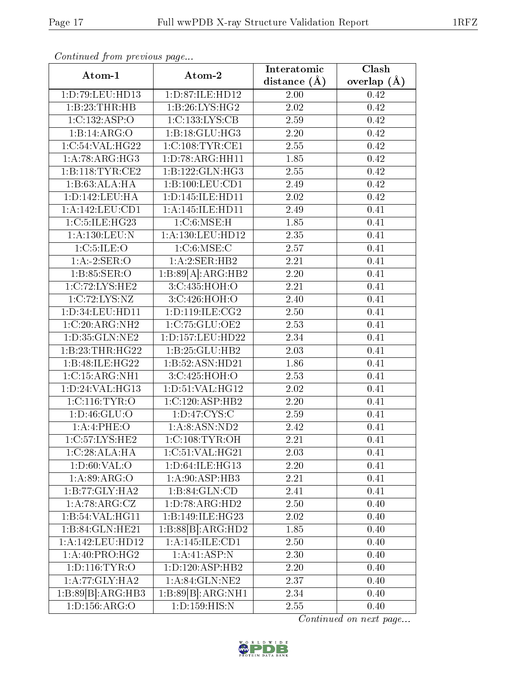| $P$ . The second set of $P$ is the set of $P$ is $P$ is $P$ is $P$ is $P$ is $P$ is $P$ is $P$ is $P$ is $P$ is $P$ is $P$ is $P$ is $P$ is $P$ is $P$ is $P$ is $P$ is $P$ is $P$ is $P$ is $P$ is $P$ is $P$ is $P$ is $P$ | Atom-2               | Interatomic       | Clash           |
|------------------------------------------------------------------------------------------------------------------------------------------------------------------------------------------------------------------------------|----------------------|-------------------|-----------------|
| Atom-1                                                                                                                                                                                                                       |                      | distance $(\AA)$  | overlap $(\AA)$ |
| 1:D:79:LEU:HD13                                                                                                                                                                                                              | 1:D:87:ILE:HD12      | $2.00\,$          | 0.42            |
| 1:B:23:THR:HB                                                                                                                                                                                                                | 1:B:26:LYS:HG2       | 2.02              | 0.42            |
| 1:C:132:ASP:O                                                                                                                                                                                                                | 1:C:133:LYS:CB       | 2.59              | 0.42            |
| 1:B:14:ARG:O                                                                                                                                                                                                                 | 1:B:18:GLU:HG3       | 2.20              | 0.42            |
| 1:C:54:VAL:HG22                                                                                                                                                                                                              | 1:C:108:TYR:CE1      | 2.55              | 0.42            |
| 1: A:78: ARG:HG3                                                                                                                                                                                                             | 1: D: 78: ARG: HH11  | 1.85              | 0.42            |
| 1:B:118:TYR:CE2                                                                                                                                                                                                              | 1:B:122:GLN:HG3      | 2.55              | 0.42            |
| 1:B:63:ALA:HA                                                                                                                                                                                                                | 1:B:100:LEU:CD1      | 2.49              | 0.42            |
| 1:D:142:LEU:HA                                                                                                                                                                                                               | 1:D:145:ILE:HD11     | 2.02              | 0.42            |
| 1: A: 142: LEU: CD1                                                                                                                                                                                                          | 1: A:145: ILE: HDI1  | 2.49              | 0.41            |
| 1:C:5:ILE:HG23                                                                                                                                                                                                               | 1: C:6:MSE:H         | 1.85              | 0.41            |
| 1:A:130:LEU:N                                                                                                                                                                                                                | 1: A: 130: LEU: HD12 | 2.35              | 0.41            |
| 1: C: 5: ILE: O                                                                                                                                                                                                              | 1:C:6:MSE:C          | 2.57              | 0.41            |
| 1:A:2:SER:O                                                                                                                                                                                                                  | 1:A:2:SER:HB2        | $\overline{2.21}$ | 0.41            |
| 1: B: 85: SER: O                                                                                                                                                                                                             | 1:B:89[A]:ARG:HB2    | 2.20              | 0.41            |
| 1:C:72:LYS:HE2                                                                                                                                                                                                               | 3:C:435:HOH:O        | $\overline{2.21}$ | 0.41            |
| 1:C:72:LYS:NZ                                                                                                                                                                                                                | 3:C:426:HOH:O        | 2.40              | 0.41            |
| 1:D:34:LEU:HD11                                                                                                                                                                                                              | 1: D: 119: ILE: CG2  | $2.50\,$          | 0.41            |
| 1:C:20:ARG:NH2                                                                                                                                                                                                               | 1:C:75:GLU:OE2       | 2.53              | 0.41            |
| 1:D:35:GLN:NE2                                                                                                                                                                                                               | 1:D:157:LEU:HD22     | 2.34              | 0.41            |
| 1:B:23:THR:HG22                                                                                                                                                                                                              | 1:B:25:GLU:HB2       | 2.03              | 0.41            |
| 1:B:48:ILE:HG22                                                                                                                                                                                                              | 1:B:52:ASN:HD21      | 1.86              | 0.41            |
| 1:C:15:ARG:NH1                                                                                                                                                                                                               | 3:C:425:HOH:O        | 2.53              | 0.41            |
| 1:D:24:VAL:HG13                                                                                                                                                                                                              | 1: D:51: VAL:HG12    | 2.02              | 0.41            |
| 1:C:116:TYR:O                                                                                                                                                                                                                | 1:C:120:ASP:HB2      | 2.20              | 0.41            |
| 1: D: 46: GLU: O                                                                                                                                                                                                             | 1: D: 47: CYS:C      | 2.59              | 0.41            |
| 1:A:4:PHE:O                                                                                                                                                                                                                  | 1: A:8: ASN: ND2     | 2.42              | 0.41            |
| 1:C:57:LYS:HE2                                                                                                                                                                                                               | 1:C:108:TYR:OH       | 2.21              | 0.41            |
| 1:C:28:ALA:HA                                                                                                                                                                                                                | 1:C:51:VAL:HG21      | 2.03              | 0.41            |
| 1: D:60: VAL:O                                                                                                                                                                                                               | 1:D:64:ILE:HG13      | 2.20              | 0.41            |
| 1: A:89: ARG:O                                                                                                                                                                                                               | 1: A:90: ASP:HB3     | 2.21              | 0.41            |
| $1:B:77:GLY:H\overline{A2}$                                                                                                                                                                                                  | 1:B:84:GLN:CD        | 2.41              | 0.41            |
| 1:A:78:ARG:CZ                                                                                                                                                                                                                | 1:D:78:ARG:HD2       | 2.50              | 0.40            |
| 1:B:54:VAL:HG11                                                                                                                                                                                                              | 1:B:149:ILE:HG23     | $2.02\,$          | 0.40            |
| 1:B:84:GLN:HE21                                                                                                                                                                                                              | 1:B:88[B]:ARG:HD2    | 1.85              | 0.40            |
| 1:A:142:LEU:HD12                                                                                                                                                                                                             | 1:A:145:ILE:CD1      | 2.50              | 0.40            |
| 1: A:40: PRO:HG2                                                                                                                                                                                                             | 1:A:41:ASP:N         | 2.30              | 0.40            |
| 1: D: 116: TYR: O                                                                                                                                                                                                            | 1: D: 120: ASP: HB2  | 2.20              | 0.40            |
| 1: A:77: GLY: HA2                                                                                                                                                                                                            | 1:A:84:GLN:NE2       | 2.37              | 0.40            |
| 1:B:89[B]:ARG:HB3                                                                                                                                                                                                            | 1:B:89[B]:ARG:NH1    | 2.34              | 0.40            |
| $1: D: 156: \overline{\rm ARG:O}$                                                                                                                                                                                            | 1: D: 159: HIS: N    | 2.55              | 0.40            |

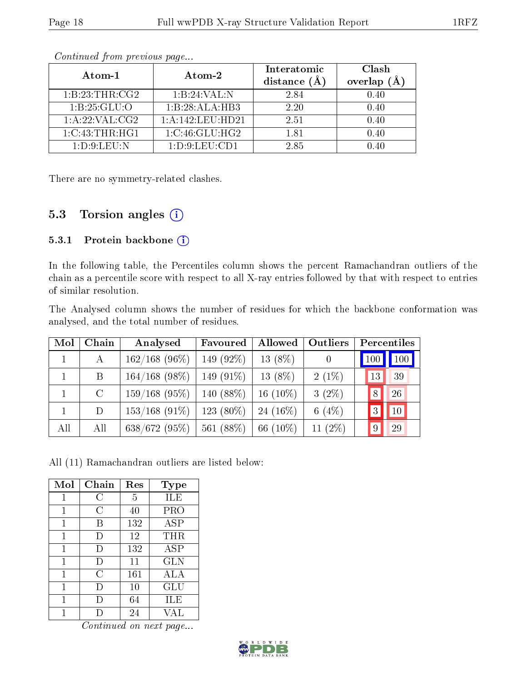| Atom-1           | Atom-2              | Interatomic<br>distance (A | Clash<br>overlap $(A)$ |
|------------------|---------------------|----------------------------|------------------------|
| 1:B:23:THR:CG2   | 1:B:24:VAL:N        | 2.84                       | 0.40                   |
| 1:B:25:GLU:O     | 1:B:28:ALA:HB3      | 2.20                       | 0.40                   |
| 1:A:22:VAL:CG2   | 1: A:142:LEU:HD21   | 2.51                       | 0.40                   |
| 1:C:43:THR:HGI   | 1:C:46:GLU:HG2      | 1.81                       | 0.40                   |
| 1: D.9: L E U: N | 1: D: 9: L E U: CD1 | 2.85                       | O 40                   |

There are no symmetry-related clashes.

### 5.3 Torsion angles (i)

#### 5.3.1 Protein backbone (i)

In the following table, the Percentiles column shows the percent Ramachandran outliers of the chain as a percentile score with respect to all X-ray entries followed by that with respect to entries of similar resolution.

The Analysed column shows the number of residues for which the backbone conformation was analysed, and the total number of residues.

| Mol | Chain   | Analysed         | Favoured     | Allowed     | <b>Outliers</b> | Percentiles                |
|-----|---------|------------------|--------------|-------------|-----------------|----------------------------|
|     | А       | $162/168$ (96\%) | 149 $(92\%)$ | $13(8\%)$   |                 | $\vert$ 100 $\vert$<br>100 |
|     | B       | $164/168$ (98\%) | 149 $(91\%)$ | 13 $(8\%)$  | $2(1\%)$        | 13<br>39                   |
|     | $\rm C$ | 159/168(95%)     | 140 $(88\%)$ | 16 $(10\%)$ | $3(2\%)$        | 26<br>$\sqrt{8}$           |
|     | D       | $153/168$ (91\%) | $123(80\%)$  | 24 (16\%)   | 6 $(4%)$        | 10                         |
| All | All     | 638/672(95%)     | 561 (88%)    | 66 $(10\%)$ | 11 $(2\%)$      | 9<br>29                    |

All (11) Ramachandran outliers are listed below:

| Mol | Chain     | Res | <b>Type</b> |
|-----|-----------|-----|-------------|
| 1   | C         | 5   | ILE         |
| 1   | С         | 40  | <b>PRO</b>  |
| 1   | В         | 132 | <b>ASP</b>  |
| 1   | $\vert$ ) | 12  | THR         |
| 1   | $\Box$    | 132 | ASP         |
| 1   | $\Box$    | 11  | <b>GLN</b>  |
| 1   | С         | 161 | ALA         |
| 1   | $\Box$    | 10  | GLU         |
|     |           | 64  | ILE         |
|     |           | 24  | VAL         |

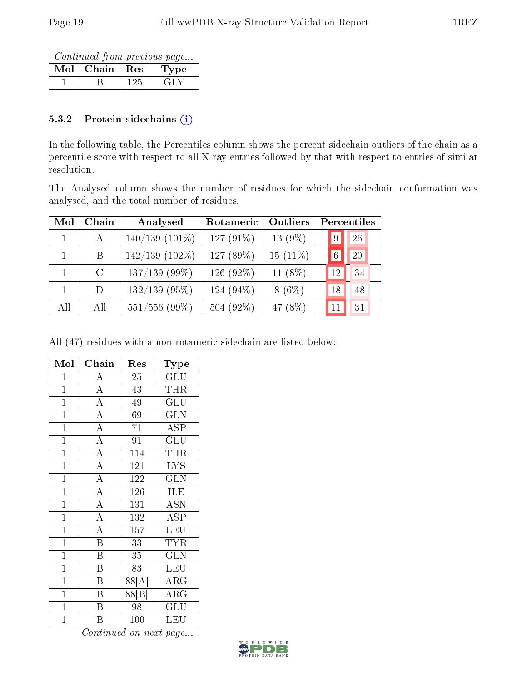Continued from previous page...

| Mol | Chain | Res | 'pe |
|-----|-------|-----|-----|
|     |       |     |     |

#### 5.3.2 Protein sidechains  $(i)$

In the following table, the Percentiles column shows the percent sidechain outliers of the chain as a percentile score with respect to all X-ray entries followed by that with respect to entries of similar resolution.

The Analysed column shows the number of residues for which the sidechain conformation was analysed, and the total number of residues.

| Mol | Chain         | Analysed            | Rotameric | Outliers   | Percentiles |
|-----|---------------|---------------------|-----------|------------|-------------|
|     | $\mathbf{A}$  | $140/139$ $(101\%)$ | 127 (91%) | $13(9\%)$  | 26<br>9     |
|     | B             | $142/139$ $(102\%)$ | 127 (89%) | $15(11\%)$ | 20<br>6     |
|     | $\mathcal{C}$ | $137/139$ (99%)     | 126 (92%) | 11 $(8\%)$ | 34<br>12    |
|     | D             | $132/139$ (95%)     | 124 (94%) | $8(6\%)$   | 48<br>18    |
| All | All           | $551/556$ (99%)     | 504 (92%) | 47 (8%)    | 31<br>11    |

All (47) residues with a non-rotameric sidechain are listed below:

| Mol            | ${\bf Chain}$           | Res              | Type                      |
|----------------|-------------------------|------------------|---------------------------|
| $\mathbf{1}$   | $\overline{\rm A}$      | 25               | GLU                       |
| $\overline{1}$ | $\overline{A}$          | 43               | <b>THR</b>                |
| $\overline{1}$ | $\overline{A}$          | 49               | $\overline{\mathrm{GLU}}$ |
| $\mathbf{1}$   | $\overline{\rm A}$      | 69               | <b>GLN</b>                |
| $\overline{1}$ | $\overline{A}$          | 71               | <b>ASP</b>                |
| $\overline{1}$ | $\overline{A}$          | $\overline{91}$  | $\overline{{\rm GLU}}$    |
| $\mathbf{1}$   | $\overline{A}$          | 114              | <b>THR</b>                |
| $\overline{1}$ | $\overline{A}$          | $\overline{121}$ | $\overline{\text{LYS}}$   |
| $\mathbf{1}$   | $\overline{A}$          | 122              | <b>GLN</b>                |
| $\overline{1}$ | $\overline{A}$          | 126              | ILE                       |
| $\overline{1}$ | $\overline{\rm A}$      | 131              | <b>ASN</b>                |
| $\mathbf{1}$   | $\overline{A}$          | 132              | <b>ASP</b>                |
| $\overline{1}$ | $\overline{A}$          | 157              | LEU                       |
| $\mathbf{1}$   | $\overline{\mathrm{B}}$ | 33               | <b>TYR</b>                |
| $\mathbf{1}$   | $\overline{\mathrm{B}}$ | 35               | <b>GLN</b>                |
| $\mathbf{1}$   | $\boldsymbol{B}$        | 83               | LEU                       |
| $\overline{1}$ | $\overline{\mathrm{B}}$ | 88[A             | ARG                       |
| $\overline{1}$ | $\overline{\mathrm{B}}$ | 88[B]            | $\rm{ARG}$                |
| $\mathbf{1}$   | B                       | 98               | GLU                       |
| $\mathbf{1}$   | Β                       | 100              | LEU                       |

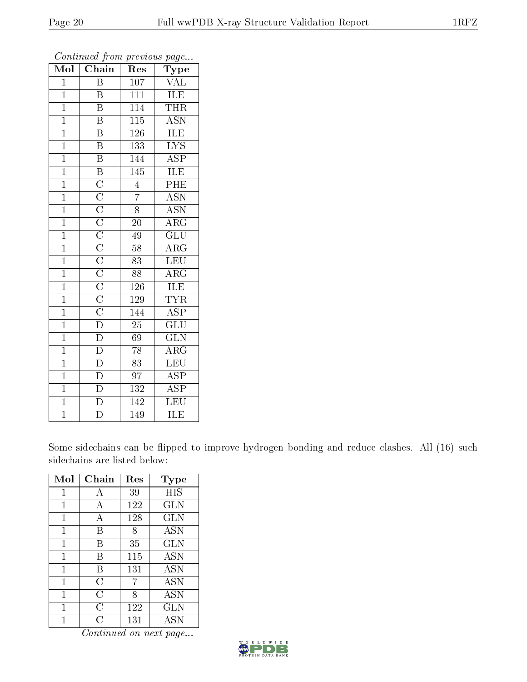| Mol            | Chain                                                                                                                                                                               | Res              | Type                      |
|----------------|-------------------------------------------------------------------------------------------------------------------------------------------------------------------------------------|------------------|---------------------------|
| $\overline{1}$ | $\overline{B}$                                                                                                                                                                      | 107              | VAL                       |
| $\mathbf{1}$   | $\boldsymbol{B}$                                                                                                                                                                    | $\overline{111}$ | ILE                       |
| $\mathbf{1}$   | $\overline{\mathrm{B}}$                                                                                                                                                             | 114              | THR                       |
| $\overline{1}$ | $\overline{\mathrm{B}}$                                                                                                                                                             | $\overline{115}$ | <b>ASN</b>                |
| $\overline{1}$ | $\overline{\mathrm{B}}$                                                                                                                                                             | $\overline{126}$ | ILE                       |
| $\mathbf{1}$   | $\overline{\mathrm{B}}$                                                                                                                                                             | 133              | $\overline{\text{LYS}}$   |
| $\mathbf{1}$   | $\overline{\mathrm{B}}$                                                                                                                                                             | 144              | $\overline{\text{ASP}}$   |
| $\mathbf{1}$   |                                                                                                                                                                                     | 145              | ILE                       |
| $\overline{1}$ | $\overline{B}$ $\overline{C}$ $\overline{C}$ $\overline{C}$ $\overline{C}$ $\overline{C}$ $\overline{C}$ $\overline{C}$ $\overline{C}$ $\overline{C}$ $\overline{C}$ $\overline{D}$ | $\overline{4}$   | PHE                       |
| $\overline{1}$ |                                                                                                                                                                                     | $\overline{7}$   | $\overline{\text{ASN}}$   |
| $\mathbf{1}$   |                                                                                                                                                                                     | $\overline{8}$   | $\overline{\mathrm{ASN}}$ |
| $\overline{1}$ |                                                                                                                                                                                     | $\overline{20}$  | $\overline{\rm{ARG}}$     |
| $\mathbf{1}$   |                                                                                                                                                                                     | 49               | $\overline{\text{GLU}}$   |
| $\mathbf{1}$   |                                                                                                                                                                                     | 58               | $\rm{ARG}$                |
| $\overline{1}$ |                                                                                                                                                                                     | $\overline{83}$  | LEU                       |
| $\mathbf{1}$   |                                                                                                                                                                                     | 88               | $\rm{ARG}$                |
| $\overline{1}$ |                                                                                                                                                                                     | $\overline{126}$ | ILE                       |
| $\overline{1}$ |                                                                                                                                                                                     | 129              | <b>TYR</b>                |
| $\overline{1}$ |                                                                                                                                                                                     | 144              | $\overline{\text{ASP}}$   |
| $\overline{1}$ |                                                                                                                                                                                     | $\overline{25}$  | $\overline{\text{GLU}}$   |
| $\overline{1}$ | $\frac{\overline{D}}{D}$                                                                                                                                                            | 69               | $\overline{\text{GLN}}$   |
| $\overline{1}$ |                                                                                                                                                                                     | $\overline{78}$  | $\overline{\rm{ARG}}$     |
| $\mathbf{1}$   | $\overline{\rm D}$                                                                                                                                                                  | 83               | LEU                       |
| $\overline{1}$ | $\overline{D}$                                                                                                                                                                      | $\overline{97}$  | $\overline{\text{ASP}}$   |
| $\overline{1}$ | $\overline{\rm D}$                                                                                                                                                                  | 132              | $\overline{\text{ASP}}$   |
| $\overline{1}$ | $\overline{\rm D}$                                                                                                                                                                  | 142              | $\overline{\text{LEU}}$   |
| $\overline{1}$ | $\overline{\mathrm{D}}$                                                                                                                                                             | 149              | ILE                       |

Some sidechains can be flipped to improve hydrogen bonding and reduce clashes. All (16) such sidechains are listed below:

| Mol          | Chain           | Res | $_{\rm Type}$ |
|--------------|-----------------|-----|---------------|
| 1            | А               | 39  | HIS           |
| $\mathbf{1}$ | A               | 122 | GLN           |
| $\mathbf{1}$ | А               | 128 | <b>GLN</b>    |
| 1            | В               | 8   | <b>ASN</b>    |
| 1            | В               | 35  | <b>GLN</b>    |
| 1            | В               | 115 | <b>ASN</b>    |
| 1            | В               | 131 | ASN           |
| 1            | $\overline{C}$  | 7   | ASN           |
| 1            | C               | 8   | ASN           |
| 1            | C               | 122 | GLN           |
|              | $\rm \tilde{C}$ | 131 | <b>ASN</b>    |

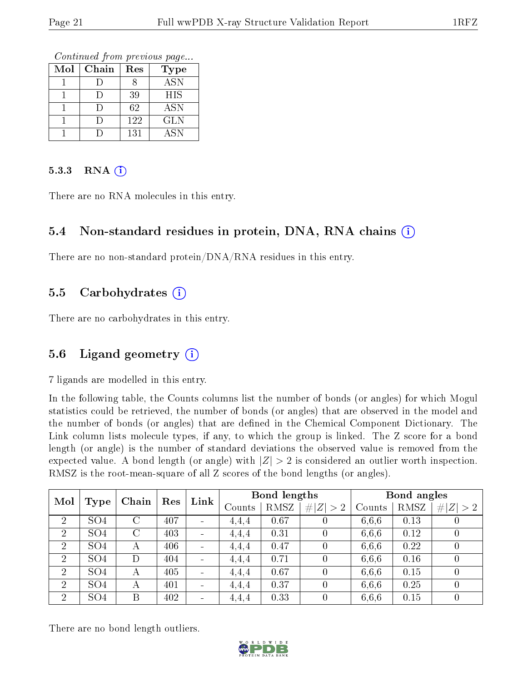Continued from previous page...

| Mol | Chain | Res | Type       |
|-----|-------|-----|------------|
|     |       |     | <b>ASN</b> |
|     |       | 39  | <b>HIS</b> |
|     |       | 62  | ASN        |
|     |       | 122 | GLN        |
|     |       | 131 | ASN        |

#### $5.3.3$  RNA  $(i)$

There are no RNA molecules in this entry.

### 5.4 Non-standard residues in protein, DNA, RNA chains (i)

There are no non-standard protein/DNA/RNA residues in this entry.

#### 5.5 Carbohydrates  $(i)$

There are no carbohydrates in this entry.

### 5.6 Ligand geometry  $(i)$

7 ligands are modelled in this entry.

In the following table, the Counts columns list the number of bonds (or angles) for which Mogul statistics could be retrieved, the number of bonds (or angles) that are observed in the model and the number of bonds (or angles) that are defined in the Chemical Component Dictionary. The Link column lists molecule types, if any, to which the group is linked. The Z score for a bond length (or angle) is the number of standard deviations the observed value is removed from the expected value. A bond length (or angle) with  $|Z| > 2$  is considered an outlier worth inspection. RMSZ is the root-mean-square of all Z scores of the bond lengths (or angles).

| Mol            |                 |         | Res | Link                     | Bond lengths |      | Bond angles      |        |      |                  |
|----------------|-----------------|---------|-----|--------------------------|--------------|------|------------------|--------|------|------------------|
|                | Type            | Chain   |     |                          | Counts       | RMSZ | # $ Z  > 2$      | Counts | RMSZ | # $ Z  > 2$      |
| $\overline{2}$ | SO <sub>4</sub> | $\rm C$ | 407 | $\blacksquare$           | 4.4.4        | 0.67 |                  | 6,6,6  | 0.13 | U                |
| $\overline{2}$ | SO <sub>4</sub> | $\rm C$ | 403 | $\blacksquare$           | 4,4,4        | 0.31 |                  | 6,6,6  | 0.12 | $\left( \right)$ |
| $\overline{2}$ | SO <sub>4</sub> | А       | 406 | $\blacksquare$           | 4.4.4        | 0.47 |                  | 6,6,6  | 0.22 | $\theta$         |
| $\overline{2}$ | SO <sub>4</sub> | D       | 404 | $\blacksquare$           | 4,4,4        | 0.71 |                  | 6,6,6  | 0.16 | $\left( \right)$ |
| $\overline{2}$ | SO <sub>4</sub> | A       | 405 | $\qquad \qquad$          | 4,4,4        | 0.67 |                  | 6,6,6  | 0.15 | $\left( \right)$ |
| $\overline{2}$ | SO <sub>4</sub> | А       | 401 | $\overline{\phantom{0}}$ | 4.4.4        | 0.37 | $\Omega$         | 6,6,6  | 0.25 | $\overline{0}$   |
| 2              | SO <sub>4</sub> | В       | 402 | $\overline{\phantom{0}}$ | 4,4,4        | 0.33 | $\left( \right)$ | 6,6,6  | 0.15 | $\left( \right)$ |

There are no bond length outliers.

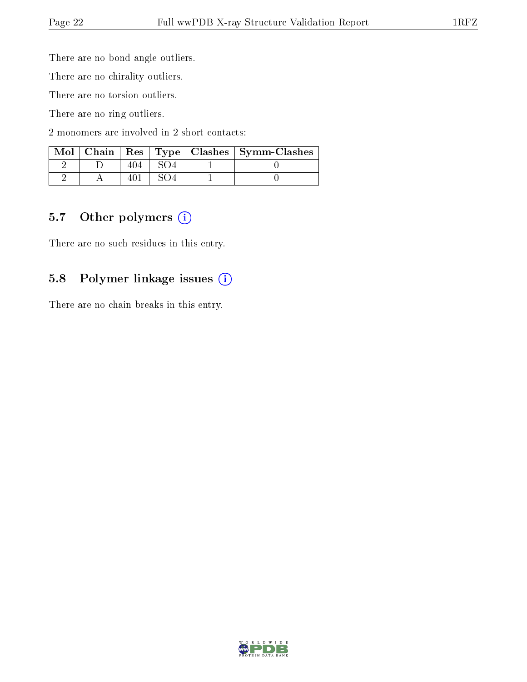There are no bond angle outliers.

There are no chirality outliers.

There are no torsion outliers.

There are no ring outliers.

2 monomers are involved in 2 short contacts:

|  |  | Mol   Chain   Res   Type   Clashes   Symm-Clashes |
|--|--|---------------------------------------------------|
|  |  |                                                   |
|  |  |                                                   |

#### 5.7 [O](https://www.wwpdb.org/validation/2017/XrayValidationReportHelp#nonstandard_residues_and_ligands)ther polymers (i)

There are no such residues in this entry.

### 5.8 Polymer linkage issues (i)

There are no chain breaks in this entry.

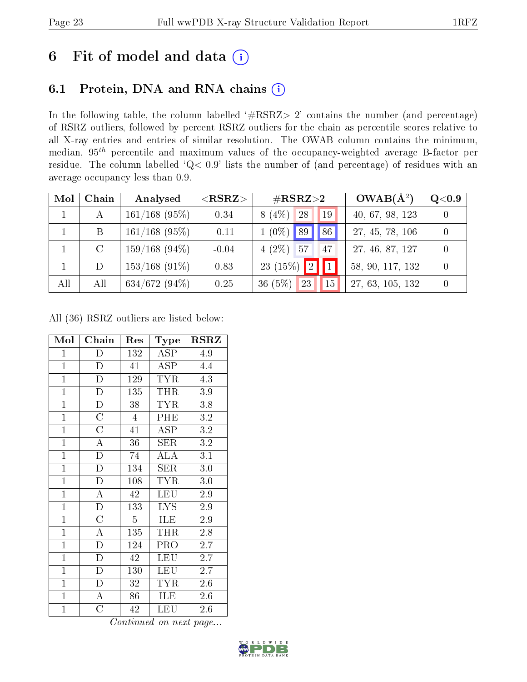# 6 Fit of model and data  $(i)$

### 6.1 Protein, DNA and RNA chains  $(i)$

In the following table, the column labelled  $#RSRZ> 2'$  contains the number (and percentage) of RSRZ outliers, followed by percent RSRZ outliers for the chain as percentile scores relative to all X-ray entries and entries of similar resolution. The OWAB column contains the minimum, median,  $95<sup>th</sup>$  percentile and maximum values of the occupancy-weighted average B-factor per residue. The column labelled ' $Q< 0.9$ ' lists the number of (and percentage) of residues with an average occupancy less than 0.9.

| Mol          | Chain         | Analysed         | ${ <\hspace{-1.5pt}{\mathrm{RSRZ}} \hspace{-1.5pt}>}$ | $\#\text{RSRZ}{>}2$                    | $OWAB(A^2)$      | Q <sub>0.9</sub> |
|--------------|---------------|------------------|-------------------------------------------------------|----------------------------------------|------------------|------------------|
| $\mathbf{1}$ | $\mathbf{A}$  | $161/168$ (95%)  | 0.34                                                  | $8(4\%)$<br>28<br>19                   | 40, 67, 98, 123  |                  |
|              | B             | $161/168$ (95%)  | $-0.11$                                               | $\sqrt{86}$<br>$1(0\%)$ 89             | 27, 45, 78, 106  |                  |
|              | $\mathcal{C}$ | $159/168$ (94\%) | $-0.04$                                               | $4(2\%)$ 57<br>47                      | 27, 46, 87, 127  |                  |
|              | D             | $153/168$ (91\%) | 0.83                                                  | $\blacksquare$<br>23 (15%) $\boxed{2}$ | 58, 90, 117, 132 |                  |
| All          | All           | $634/672(94\%)$  | 0.25                                                  | 36(5%)<br>23<br>15                     | 27, 63, 105, 132 |                  |

All (36) RSRZ outliers are listed below:

| Mol            | ${\bf Chain}$           | Res              | Type       | RSRZ            |
|----------------|-------------------------|------------------|------------|-----------------|
| $\mathbf{1}$   | D                       | 132              | ASP        | 4.9             |
| $\overline{1}$ | ${\rm D}$               | 41               | ASP        | 4.4             |
| $\mathbf{1}$   | $\overline{\mathrm{D}}$ | $\overline{1}29$ | <b>TYR</b> | 4.3             |
| $\mathbf{1}$   | $\mathbf D$             | 135              | <b>THR</b> | $3.9\,$         |
| $\overline{1}$ | $\overline{\rm D}$      | 38               | <b>TYR</b> | 3.8             |
| $\overline{1}$ | $\overline{\rm C}$      | $\overline{4}$   | PHE        | 3.2             |
| $\mathbf{1}$   | $\mathcal C$            | 41               | <b>ASP</b> | 3.2             |
| $\overline{1}$ | $\overline{\rm A}$      | 36               | <b>SER</b> | 3.2             |
| $\overline{1}$ | $\overline{\rm D}$      | 74               | <b>ALA</b> | 3.1             |
| $\mathbf{1}$   | $\mathbf D$             | 134              | SER        | $3.0\,$         |
| $\mathbf{1}$   | $\mathbf D$             | 108              | <b>TYR</b> | $3.0\,$         |
| $\overline{1}$ | $\overline{\rm A}$      | 42               | LEU        | 2.9             |
| $\overline{1}$ | $\overline{D}$          | 133              | <b>LYS</b> | 2.9             |
| $\mathbf{1}$   | $\overline{\rm C}$      | $\overline{5}$   | ILE        | 2.9             |
| $\mathbf{1}$   | $\overline{\rm A}$      | 135              | THR        | 2.8             |
| $\overline{1}$ | $\overline{\rm D}$      | 124              | PRO        | $2.7^{\degree}$ |
| $\overline{1}$ | $\overline{\rm D}$      | 42               | <b>LEU</b> | $2.7\,$         |
| $\mathbf{1}$   | $\mathbf D$             | 130              | LEU        | 2.7             |
| $\overline{1}$ | D                       | 32               | <b>TYR</b> | $2.6\,$         |
| $\mathbf{1}$   | $\overline{A}$          | 86               | ILE        | 2.6             |
| $\mathbf{1}$   | $\overline{C}$          | 42               | <b>LEU</b> | 2.6             |

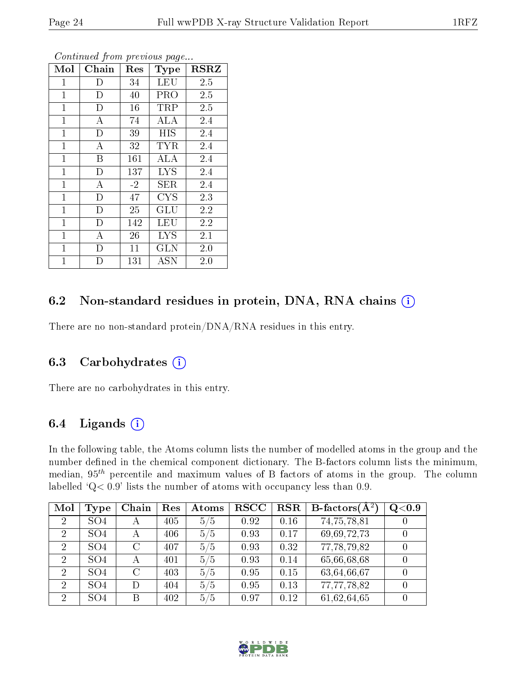| Mol          | Chain                   | Res  | Type       | <b>RSRZ</b> |
|--------------|-------------------------|------|------------|-------------|
| $\mathbf{1}$ | D                       | 34   | <b>LEU</b> | 2.5         |
| $\mathbf{1}$ | D                       | 40   | <b>PRO</b> | 2.5         |
| $\mathbf{1}$ | $\overline{D}$          | 16   | TRP        | 2.5         |
| $\mathbf{1}$ | А                       | 74   | ALA        | 2.4         |
| $\mathbf{1}$ | $\mathbf{D}$            | 39   | <b>HIS</b> | 2.4         |
| $\mathbf{1}$ | A                       | 32   | <b>TYR</b> | 2.4         |
| $\mathbf{1}$ | B                       | 161  | ALA        | 2.4         |
| $\mathbf{1}$ | $\overline{D}$          | 137  | <b>LYS</b> | 2.4         |
| $\mathbf{1}$ | $\boldsymbol{A}$        | $-2$ | SER        | 2.4         |
| $\mathbf{1}$ | $\overline{\mathrm{D}}$ | 47   | <b>CYS</b> | 2.3         |
| $\mathbf{1}$ | $\mathbf{D}$            | 25   | GLU        | 2.2         |
| $\mathbf{1}$ | $\mathbf D$             | 142  | <b>LEU</b> | 2.2         |
| $\mathbf 1$  | A                       | 26   | <b>LYS</b> | 2.1         |
| $\mathbf{1}$ | D                       | 11   | GLN        | 2.0         |
| 1            | D                       | 131  | ASN        | 2.0         |

### 6.2 Non-standard residues in protein, DNA, RNA chains (i)

There are no non-standard protein/DNA/RNA residues in this entry.

#### 6.3 Carbohydrates  $(i)$

There are no carbohydrates in this entry.

### 6.4 Ligands  $(i)$

In the following table, the Atoms column lists the number of modelled atoms in the group and the number defined in the chemical component dictionary. The B-factors column lists the minimum, median,  $95<sup>th</sup>$  percentile and maximum values of B factors of atoms in the group. The column labelled 'Q< 0.9' lists the number of atoms with occupancy less than 0.9.

| Mol            | <b>Type</b>     | Chain   | Res | Atoms | <b>RSCC</b> | <b>RSR</b> | <b>B</b> -factors( $\overline{A^2}$ ) | Q <sub>0.9</sub> |
|----------------|-----------------|---------|-----|-------|-------------|------------|---------------------------------------|------------------|
| $\overline{2}$ | SO <sub>4</sub> | А       | 405 | 5/5   | 0.92        | 0.16       | 74,75,78,81                           |                  |
| $\overline{2}$ | SO <sub>4</sub> | А       | 406 | 5/5   | 0.93        | 0.17       | 69,69,72,73                           |                  |
| $\overline{2}$ | SO <sub>4</sub> | $\rm C$ | 407 | 5/5   | 0.93        | 0.32       | 77,78,79,82                           |                  |
| $\overline{2}$ | SO <sub>4</sub> | А       | 401 | 5/5   | 0.93        | 0.14       | 65,66,68,68                           |                  |
| $\overline{2}$ | SO <sub>4</sub> | $\rm C$ | 403 | 5/5   | 0.95        | 0.15       | 63,64,66,67                           |                  |
| $\overline{2}$ | SO <sub>4</sub> | D       | 404 | 5/5   | 0.95        | 0.13       | 77,77,78,82                           |                  |
| $\overline{2}$ | SO <sub>4</sub> | В       | 402 | 5/5   | 0.97        | 0.12       | 61,62,64,65                           |                  |